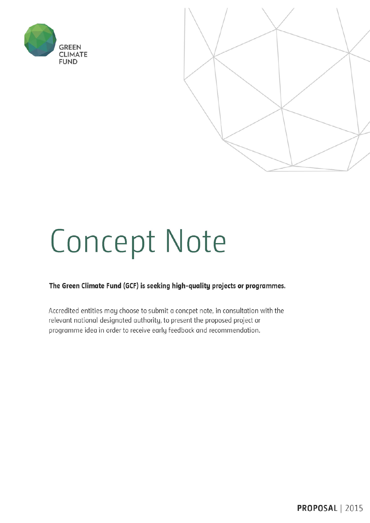



# **Concept Note**

#### The Green Climate Fund (GCF) is seeking high-quality projects or programmes.

Accredited entities may choose to submit a concpet note, in consultation with the relevant national designated authority, to present the proposed project or programme idea in order to receive early feedback and recommendation.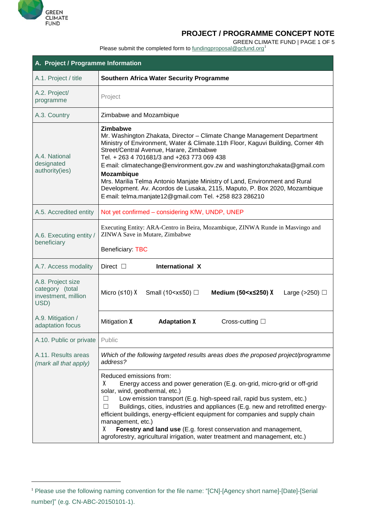

 $\overline{a}$ 

# **PROJECT / PROGRAMME CONCEPT NOTE**

GREEN CLIMATE FUND | PAGE 1 OF 5

Please submit the completed form to [fundingproposal@gcfund.org](mailto:fundingproposal@gcfund.org)<sup>[1](#page-1-0)</sup>

| A. Project / Programme Information                                  |                                                                                                                                                                                                                                                                                                                                                                                                                                                                                                                                                                                        |  |  |  |  |  |  |
|---------------------------------------------------------------------|----------------------------------------------------------------------------------------------------------------------------------------------------------------------------------------------------------------------------------------------------------------------------------------------------------------------------------------------------------------------------------------------------------------------------------------------------------------------------------------------------------------------------------------------------------------------------------------|--|--|--|--|--|--|
| A.1. Project / title                                                | <b>Southern Africa Water Security Programme</b>                                                                                                                                                                                                                                                                                                                                                                                                                                                                                                                                        |  |  |  |  |  |  |
| A.2. Project/<br>programme                                          | Project                                                                                                                                                                                                                                                                                                                                                                                                                                                                                                                                                                                |  |  |  |  |  |  |
| A.3. Country                                                        | Zimbabwe and Mozambique                                                                                                                                                                                                                                                                                                                                                                                                                                                                                                                                                                |  |  |  |  |  |  |
| A.4. National<br>designated<br>authority(ies)                       | Zimbabwe<br>Mr. Washington Zhakata, Director - Climate Change Management Department<br>Ministry of Environment, Water & Climate.11th Floor, Kaguvi Building, Corner 4th<br>Street/Central Avenue, Harare, Zimbabwe<br>Tel. + 263 4 701681/3 and +263 773 069 438<br>E-mail: climatechange@environment.gov.zw and washingtonzhakata@gmail.com<br><b>Mozambique</b><br>Mrs. Marilia Telma Antonio Manjate Ministry of Land, Environment and Rural<br>Development. Av. Acordos de Lusaka, 2115, Maputo, P. Box 2020, Mozambique<br>E-mail: telma.manjate12@gmail.com Tel. +258 823 286210 |  |  |  |  |  |  |
| A.5. Accredited entity                                              | Not yet confirmed - considering KfW, UNDP, UNEP                                                                                                                                                                                                                                                                                                                                                                                                                                                                                                                                        |  |  |  |  |  |  |
| A.6. Executing entity /<br>beneficiary                              | Executing Entity: ARA-Centro in Beira, Mozambique, ZINWA Runde in Masvingo and<br>ZINWA Save in Mutare, Zimbabwe<br><b>Beneficiary: TBC</b>                                                                                                                                                                                                                                                                                                                                                                                                                                            |  |  |  |  |  |  |
| A.7. Access modality                                                | <b>International X</b><br>Direct $\Box$                                                                                                                                                                                                                                                                                                                                                                                                                                                                                                                                                |  |  |  |  |  |  |
| A.8. Project size<br>category (total<br>investment, million<br>USD) | Small (10 <x≤50) □<br="">Micro (<math>\leq 10</math>) X<br/>Medium (50<math>\leq</math><math>\times</math><math>\leq</math>250) X<br/>Large (<math>&gt;250</math>) <math>\Box</math></x≤50)>                                                                                                                                                                                                                                                                                                                                                                                           |  |  |  |  |  |  |
| A.9. Mitigation /<br>adaptation focus                               | Mitigation X<br><b>Adaptation X</b><br>Cross-cutting $\square$                                                                                                                                                                                                                                                                                                                                                                                                                                                                                                                         |  |  |  |  |  |  |
| A.10. Public or private                                             | Public                                                                                                                                                                                                                                                                                                                                                                                                                                                                                                                                                                                 |  |  |  |  |  |  |
| A.11. Results areas<br>(mark all that apply)                        | Which of the following targeted results areas does the proposed project/programme<br>address?                                                                                                                                                                                                                                                                                                                                                                                                                                                                                          |  |  |  |  |  |  |
|                                                                     | Reduced emissions from:<br>Energy access and power generation (E.g. on-grid, micro-grid or off-grid<br>x<br>solar, wind, geothermal, etc.)<br>Low emission transport (E.g. high-speed rail, rapid bus system, etc.)<br>Ш<br>Buildings, cities, industries and appliances (E.g. new and retrofitted energy-<br>efficient buildings, energy-efficient equipment for companies and supply chain<br>management, etc.)<br>X<br>Forestry and land use (E.g. forest conservation and management,<br>agroforestry, agricultural irrigation, water treatment and management, etc.)              |  |  |  |  |  |  |

<span id="page-1-0"></span><sup>1</sup> Please use the following naming convention for the file name: "[CN]-[Agency short name]-[Date]-[Serial number]" (e.g. CN-ABC-20150101-1).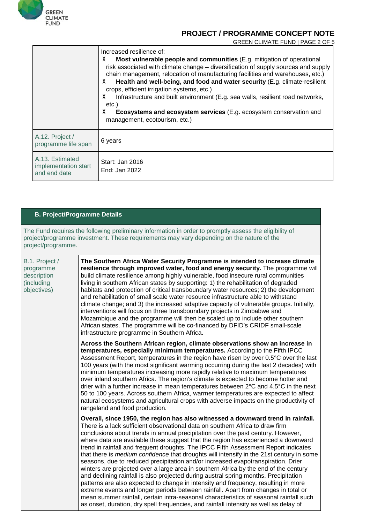

GREEN CLIMATE FUND | PAGE 2 OF 5

|                                                         | Increased resilience of:<br>X<br>Most vulnerable people and communities (E.g. mitigation of operational<br>risk associated with climate change – diversification of supply sources and supply<br>chain management, relocation of manufacturing facilities and warehouses, etc.)<br>X<br>Health and well-being, and food and water security (E.g. climate-resilient<br>crops, efficient irrigation systems, etc.)<br>Infrastructure and built environment (E.g. sea walls, resilient road networks,<br>X<br>etc.)<br>X<br><b>Ecosystems and ecosystem services</b> (E.g. ecosystem conservation and<br>management, ecotourism, etc.) |
|---------------------------------------------------------|-------------------------------------------------------------------------------------------------------------------------------------------------------------------------------------------------------------------------------------------------------------------------------------------------------------------------------------------------------------------------------------------------------------------------------------------------------------------------------------------------------------------------------------------------------------------------------------------------------------------------------------|
| A.12. Project /<br>programme life span                  | 6 years                                                                                                                                                                                                                                                                                                                                                                                                                                                                                                                                                                                                                             |
| A.13. Estimated<br>implementation start<br>and end date | Start: Jan 2016<br>End: Jan 2022                                                                                                                                                                                                                                                                                                                                                                                                                                                                                                                                                                                                    |

#### **B. Project/Programme Details**

The Fund requires the following preliminary information in order to promptly assess the eligibility of project/programme investment. These requirements may vary depending on the nature of the project/programme.

| B.1. Project /<br>programme<br>description<br>(including<br>objectives) | The Southern Africa Water Security Programme is intended to increase climate<br>resilience through improved water, food and energy security. The programme will<br>build climate resilience among highly vulnerable, food insecure rural communities<br>living in southern African states by supporting: 1) the rehabilitation of degraded<br>habitats and protection of critical transboundary water resources; 2) the development<br>and rehabilitation of small scale water resource infrastructure able to withstand<br>climate change; and 3) the increased adaptive capacity of vulnerable groups. Initially,<br>interventions will focus on three transboundary projects in Zimbabwe and<br>Mozambique and the programme will then be scaled up to include other southern<br>African states. The programme will be co-financed by DFID's CRIDF small-scale<br>infrastructure programme in Southern Africa.                                                                                                                                                                                                                                                       |
|-------------------------------------------------------------------------|-------------------------------------------------------------------------------------------------------------------------------------------------------------------------------------------------------------------------------------------------------------------------------------------------------------------------------------------------------------------------------------------------------------------------------------------------------------------------------------------------------------------------------------------------------------------------------------------------------------------------------------------------------------------------------------------------------------------------------------------------------------------------------------------------------------------------------------------------------------------------------------------------------------------------------------------------------------------------------------------------------------------------------------------------------------------------------------------------------------------------------------------------------------------------|
|                                                                         | Across the Southern African region, climate observations show an increase in<br>temperatures, especially minimum temperatures. According to the Fifth IPCC<br>Assessment Report, temperatures in the region have risen by over 0.5°C over the last<br>100 years (with the most significant warming occurring during the last 2 decades) with<br>minimum temperatures increasing more rapidly relative to maximum temperatures<br>over inland southern Africa. The region's climate is expected to become hotter and<br>drier with a further increase in mean temperatures between 2°C and 4.5°C in the next<br>50 to 100 years. Across southern Africa, warmer temperatures are expected to affect<br>natural ecosystems and agricultural crops with adverse impacts on the productivity of<br>rangeland and food production.                                                                                                                                                                                                                                                                                                                                           |
|                                                                         | Overall, since 1950, the region has also witnessed a downward trend in rainfall.<br>There is a lack sufficient observational data on southern Africa to draw firm<br>conclusions about trends in annual precipitation over the past century. However,<br>where data are available these suggest that the region has experienced a downward<br>trend in rainfall and frequent droughts. The IPCC Fifth Assessment Report indicates<br>that there is <i>medium confidence</i> that droughts will intensify in the 21st century in some<br>seasons, due to reduced precipitation and/or increased evapotranspiration. Drier<br>winters are projected over a large area in southern Africa by the end of the century<br>and declining rainfall is also projected during austral spring months. Precipitation<br>patterns are also expected to change in intensity and frequency, resulting in more<br>extreme events and longer periods between rainfall. Apart from changes in total or<br>mean summer rainfall, certain intra-seasonal characteristics of seasonal rainfall such<br>as onset, duration, dry spell frequencies, and rainfall intensity as well as delay of |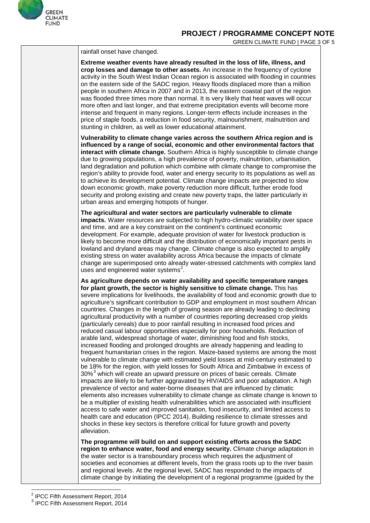

<span id="page-3-1"></span><span id="page-3-0"></span>

| rainfall onset have changed.                                                                                                                                                                                                                                                                                                                                                                                                                                                                                                                                                                                                                                                                                                                                                                                                                                                                                                                                                                                                                                                                                                                                                                                                                                                                                                                                                                                                                                                                                                                                                                                                                                                                                                                                                                                                                                                                  |  |
|-----------------------------------------------------------------------------------------------------------------------------------------------------------------------------------------------------------------------------------------------------------------------------------------------------------------------------------------------------------------------------------------------------------------------------------------------------------------------------------------------------------------------------------------------------------------------------------------------------------------------------------------------------------------------------------------------------------------------------------------------------------------------------------------------------------------------------------------------------------------------------------------------------------------------------------------------------------------------------------------------------------------------------------------------------------------------------------------------------------------------------------------------------------------------------------------------------------------------------------------------------------------------------------------------------------------------------------------------------------------------------------------------------------------------------------------------------------------------------------------------------------------------------------------------------------------------------------------------------------------------------------------------------------------------------------------------------------------------------------------------------------------------------------------------------------------------------------------------------------------------------------------------|--|
| Extreme weather events have already resulted in the loss of life, illness, and<br>crop losses and damage to other assets. An increase in the frequency of cyclone<br>activity in the South West Indian Ocean region is associated with flooding in countries<br>on the eastern side of the SADC region. Heavy floods displaced more than a million<br>people in southern Africa in 2007 and in 2013, the eastern coastal part of the region<br>was flooded three times more than normal. It is very likely that heat waves will occur<br>more often and last longer, and that extreme precipitation events will become more<br>intense and frequent in many regions. Longer-term effects include increases in the<br>price of staple foods, a reduction in food security, malnourishment, malnutrition and<br>stunting in children, as well as lower educational attainment.                                                                                                                                                                                                                                                                                                                                                                                                                                                                                                                                                                                                                                                                                                                                                                                                                                                                                                                                                                                                                  |  |
| Vulnerability to climate change varies across the southern Africa region and is<br>influenced by a range of social, economic and other environmental factors that<br>interact with climate change. Southern Africa is highly susceptible to climate change<br>due to growing populations, a high prevalence of poverty, malnutrition, urbanisation,<br>land degradation and pollution which combine with climate change to compromise the<br>region's ability to provide food, water and energy security to its populations as well as<br>to achieve its development potential. Climate change impacts are projected to slow<br>down economic growth, make poverty reduction more difficult, further erode food<br>security and prolong existing and create new poverty traps, the latter particularly in<br>urban areas and emerging hotspots of hunger.                                                                                                                                                                                                                                                                                                                                                                                                                                                                                                                                                                                                                                                                                                                                                                                                                                                                                                                                                                                                                                     |  |
| The agricultural and water sectors are particularly vulnerable to climate<br>impacts. Water resources are subjected to high hydro-climatic variability over space<br>and time, and are a key constraint on the continent's continued economic<br>development. For example, adequate provision of water for livestock production is<br>likely to become more difficult and the distribution of economically important pests in<br>lowland and dryland areas may change. Climate change is also expected to amplify<br>existing stress on water availability across Africa because the impacts of climate<br>change are superimposed onto already water-stressed catchments with complex land<br>uses and engineered water systems <sup>2</sup> .                                                                                                                                                                                                                                                                                                                                                                                                                                                                                                                                                                                                                                                                                                                                                                                                                                                                                                                                                                                                                                                                                                                                               |  |
| As agriculture depends on water availability and specific temperature ranges<br>for plant growth, the sector is highly sensitive to climate change. This has<br>severe implications for livelihoods, the availability of food and economic growth due to<br>agriculture's significant contribution to GDP and employment in most southern African<br>countries. Changes in the length of growing season are already leading to declining<br>agricultural productivity with a number of countries reporting decreased crop yields<br>(particularly cereals) due to poor rainfall resulting in increased food prices and<br>reduced casual labour opportunities especially for poor households. Reduction of<br>arable land, widespread shortage of water, diminishing food and fish stocks,<br>increased flooding and prolonged droughts are already happening and leading to<br>frequent humanitarian crises in the region. Maize-based systems are among the most<br>vulnerable to climate change with estimated yield losses at mid-century estimated to<br>be 18% for the region, with yield losses for South Africa and Zimbabwe in excess of<br>30% <sup>3</sup> which will create an upward pressure on prices of basic cereals. Climate<br>impacts are likely to be further aggravated by HIV/AIDS and poor adaptation. A high<br>prevalence of vector and water-borne diseases that are influenced by climatic<br>elements also increases vulnerability to climate change as climate change is known to<br>be a multiplier of existing health vulnerabilities which are associated with insufficient<br>access to safe water and improved sanitation, food insecurity, and limited access to<br>health care and education (IPCC 2014). Building resilience to climate stresses and<br>shocks in these key sectors is therefore critical for future growth and poverty<br>alleviation. |  |
| The programme will build on and support existing efforts across the SADC<br>region to enhance water, food and energy security. Climate change adaptation in<br>the water sector is a transboundary process which requires the adjustment of<br>societies and economies at different levels, from the grass roots up to the river basin<br>and regional levels. At the regional level, SADC has responded to the impacts of<br>climate change by initiating the development of a regional programme (guided by the                                                                                                                                                                                                                                                                                                                                                                                                                                                                                                                                                                                                                                                                                                                                                                                                                                                                                                                                                                                                                                                                                                                                                                                                                                                                                                                                                                             |  |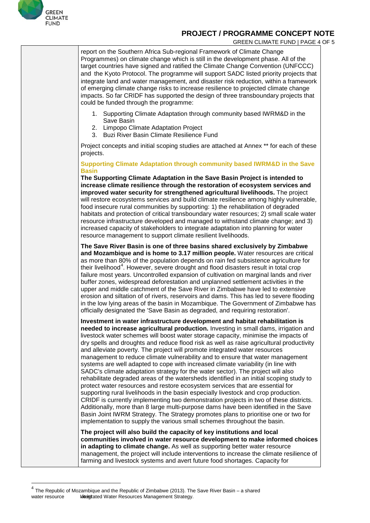

 $\overline{\phantom{a}}$ 

#### **PROJECT / PROGRAMME CONCEPT NOTE**

GREEN CLIMATE FUND | PAGE 4 OF 5

report on the Southern Africa Sub-regional Framework of Climate Change Programmes) on climate change which is still in the development phase. All of the target countries have signed and ratified the Climate Change Convention (UNFCCC) and the Kyoto Protocol. The programme will support SADC listed priority projects that integrate land and water management, and disaster risk reduction, within a framework of emerging climate change risks to increase resilience to projected climate change impacts. So far CRIDF has supported the design of three transboundary projects that could be funded through the programme:

- 1. Supporting Climate Adaptation through community based IWRM&D in the Save Basin
- 2. Limpopo Climate Adaptation Project
- 3. Buzi River Basin Climate Resilience Fund

Project concepts and initial scoping studies are attached at Annex \*\* for each of these projects.

**Supporting Climate Adaptation through community based IWRM&D in the Save Basin**

**The Supporting Climate Adaptation in the Save Basin Project is intended to increase climate resilience through the restoration of ecosystem services and improved water security for strengthened agricultural livelihoods.** The project will restore ecosystems services and build climate resilience among highly vulnerable, food insecure rural communities by supporting: 1) the rehabilitation of degraded habitats and protection of critical transboundary water resources; 2) small scale water resource infrastructure developed and managed to withstand climate change; and 3) increased capacity of stakeholders to integrate adaptation into planning for water resource management to support climate resilient livelihoods.

**The Save River Basin is one of three basins shared exclusively by Zimbabwe and Mozambique and is home to 3.17 million people.** Water resources are critical as more than 80% of the population depends on rain fed subsistence agriculture for their livelihood<sup>[4](#page-4-0)</sup>. However, severe drought and flood disasters result in total crop failure most years. Uncontrolled expansion of cultivation on marginal lands and river buffer zones, widespread deforestation and unplanned settlement activities in the upper and middle catchment of the Save River in Zimbabwe have led to extensive erosion and siltation of of rivers, reservoirs and dams. This has led to severe flooding in the low lying areas of the basin in Mozambique. The Government of Zimbabwe has officially designated the 'Save Basin as degraded, and requiring restoration'.

**Investment in water infrastructure development and habitat rehabilitation is needed to increase agricultural production.** Investing in small dams, irrigation and livestock water schemes will boost water storage capacity, minimise the impacts of dry spells and droughts and reduce flood risk as well as raise agricultural productivity and alleviate poverty. The project will promote integrated water resources management to reduce climate vulnerability and to ensure that water management systems are well adapted to cope with increased climate variability (in line with SADC's climate adaptation strategy for the water sector). The project will also rehabilitate degraded areas of the watersheds identified in an initial scoping study to protect water resources and restore ecosystem services that are essential for supporting rural livelihoods in the basin especially livestock and crop production. CRIDF is currently implementing two demonstration projects in two of these districts. Additionally, more than 8 large multi-purpose dams have been identified in the Save Basin Joint IWRM Strategy. The Strategy promotes plans to prioritise one or two for implementation to supply the various small schemes throughout the basin.

**The project will also build the capacity of key institutions and local communities involved in water resource development to make informed choices in adapting to climate change.** As well as supporting better water resource management, the project will include interventions to increase the climate resilience of farming and livestock systems and avert future food shortages. Capacity for

<span id="page-4-0"></span><sup>4</sup> The Republic of Mozambique and the Republic of Zimbabwe (2013). The Save River Basin – <sup>a</sup> shared water resource Iddegtated Water Resources Management Strategy.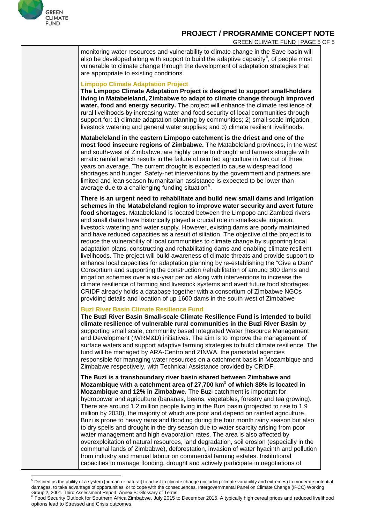

GREEN CLIMATE FUND | PAGE 5 OF 5

monitoring water resources and vulnerability to climate change in the Save basin will also be developed along with support to build the adaptive capacity $^5$  $^5$ , of people most vulnerable to climate change through the development of adaptation strategies that are appropriate to existing conditions.

#### **Limpopo Climate Adaptation Project**

**The Limpopo Climate Adaptation Project is designed to support small-holders living in Matabeleland, Zimbabwe to adapt to climate change through improved water, food and energy security.** The project will enhance the climate resilience of rural livelihoods by increasing water and food security of local communities through support for: 1) climate adaptation planning by communities; 2) small-scale irrigation, livestock watering and general water supplies; and 3) climate resilient livelihoods.

**Matabeleland in the eastern Limpopo catchment is the driest and one of the most food insecure regions of Zimbabwe.** The Matabeleland provinces, in the west and south-west of Zimbabwe, are highly prone to drought and farmers struggle with erratic rainfall which results in the failure of rain fed agriculture in two out of three years on average. The current drought is expected to cause widespread food shortages and hunger. Safety-net interventions by the government and partners are limited and lean season humanitarian assistance is expected to be lower than average due to a challenging funding situation $^6$  $^6$ .

**There is an urgent need to rehabilitate and build new small dams and irrigation schemes in the Matabeleland region to improve water security and avert future food shortages.** Matabeleland is located between the Limpopo and Zambezi rivers and small dams have historically played a crucial role in small-scale irrigation, livestock watering and water supply. However, existing dams are poorly maintained and have reduced capacities as a result of siltation. The objective of the project is to reduce the vulnerability of local communities to climate change by supporting local adaptation plans, constructing and rehabilitating dams and enabling climate resilient livelihoods. The project will build awareness of climate threats and provide support to enhance local capacities for adaptation planning by re-establishing the "Give a Dam" Consortium and supporting the construction /rehabilitation of around 300 dams and irrigation schemes over a six-year period along with interventions to increase the climate resilience of farming and livestock systems and avert future food shortages. CRIDF already holds a database together with a consortium of Zimbabwe NGOs providing details and location of up 1600 dams in the south west of Zimbabwe

#### **Buzi River Basin Climate Resilience Fund**

**The Buzi River Basin Small-scale Climate Resilience Fund is intended to build climate resilience of vulnerable rural communities in the Buzi River Basin** by supporting small scale, community based Integrated Water Resource Management and Development (IWRM&D) initiatives. The aim is to improve the management of surface waters and support adaptive farming strategies to build climate resilience. The fund will be managed by ARA-Centro and ZINWA, the parastatal agencies responsible for managing water resources on a catchment basis in Mozambique and Zimbabwe respectively, with Technical Assistance provided by CRIDF.

**The Buzi is a transboundary river basin shared between Zimbabwe and Mozambique with a catchment area of 27,700 km<sup>2</sup> of which 88% is located in Mozambique and 12% in Zimbabwe.** The Buzi catchment is important for hydropower and agriculture (bananas, beans, vegetables, forestry and tea growing). There are around 1.2 million people living in the Buzi basin (projected to rise to 1.9 million by 2030), the majority of which are poor and depend on rainfed agriculture. Buzi is prone to heavy rains and flooding during the four month rainy season but also to dry spells and drought in the dry season due to water scarcity arising from poor water management and high evaporation rates. The area is also affected by overexploitation of natural resources, land degradation, soil erosion (especially in the communal lands of Zimbabwe), deforestation, invasion of water hyacinth and pollution from industry and manual labour on commercial farming estates. Institutional capacities to manage flooding, drought and actively participate in negotiations of

<span id="page-5-0"></span> $^5$  Defined as the ability of a system [human or natural] to adjust to climate change (including climate variability and extremes) to moderate potential damages, to take advantage of opportunities, or to cope with the consequences. Intergovernmental Panel on Climate Change (IPCC) Working  $\overline{a}$ 

<span id="page-5-1"></span>Group 2, 2001. Third Assessment Report, Annex B: Glossary of Terms.<br>6 Food Security Outlook for [Southern](http://www.fews.net/southern-africa) Africa [Zimbabwe.](http://www.fews.net/southern-africa/zimbabwe) July 2015 to December 2015. A typically high cereal prices and reduced livelihood options lead to Stressed and Crisis outcomes.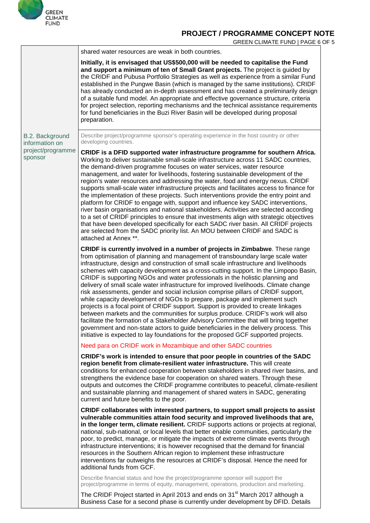

|                                   | GREEN CLIMATE FUND   PAGE 6 OF 5                                                                                                                                                                                                                                                                                                                                                                                                                                                                                                                                                                                                                                                                                                                                                                                                                                                                                                                                                                                                                                                                                                           |
|-----------------------------------|--------------------------------------------------------------------------------------------------------------------------------------------------------------------------------------------------------------------------------------------------------------------------------------------------------------------------------------------------------------------------------------------------------------------------------------------------------------------------------------------------------------------------------------------------------------------------------------------------------------------------------------------------------------------------------------------------------------------------------------------------------------------------------------------------------------------------------------------------------------------------------------------------------------------------------------------------------------------------------------------------------------------------------------------------------------------------------------------------------------------------------------------|
|                                   | shared water resources are weak in both countries.                                                                                                                                                                                                                                                                                                                                                                                                                                                                                                                                                                                                                                                                                                                                                                                                                                                                                                                                                                                                                                                                                         |
|                                   | Initially, it is envisaged that US\$500,000 will be needed to capitalise the Fund<br>and support a minimum of ten of Small Grant projects. The project is guided by<br>the CRIDF and Pubusa Portfolio Strategies as well as experience from a similar Fund<br>established in the Pungwe Basin (which is managed by the same institutions). CRIDF<br>has already conducted an in-depth assessment and has created a preliminarily design<br>of a suitable fund model. An appropriate and effective governance structure, criteria<br>for project selection, reporting mechanisms and the technical assistance requirements<br>for fund beneficiaries in the Buzi River Basin will be developed during proposal<br>preparation.                                                                                                                                                                                                                                                                                                                                                                                                              |
| B.2. Background<br>information on | Describe project/programme sponsor's operating experience in the host country or other<br>developing countries.                                                                                                                                                                                                                                                                                                                                                                                                                                                                                                                                                                                                                                                                                                                                                                                                                                                                                                                                                                                                                            |
| project/programme<br>sponsor      | CRIDF is a DFID supported water infrastructure programme for southern Africa.<br>Working to deliver sustainable small-scale infrastructure across 11 SADC countries,<br>the demand-driven programme focuses on water services, water resource<br>management, and water for livelihoods, fostering sustainable development of the<br>region's water resources and addressing the water, food and energy nexus. CRIDF<br>supports small-scale water infrastructure projects and facilitates access to finance for<br>the implementation of these projects. Such interventions provide the entry point and<br>platform for CRIDF to engage with, support and influence key SADC interventions,<br>river basin organisations and national stakeholders. Activities are selected according<br>to a set of CRIDF principles to ensure that investments align with strategic objectives<br>that have been developed specifically for each SADC river basin. All CRIDF projects<br>are selected from the SADC priority list. An MOU between CRIDF and SADC is<br>attached at Annex **.                                                             |
|                                   | CRIDF is currently involved in a number of projects in Zimbabwe. These range<br>from optimisation of planning and management of transboundary large scale water<br>infrastructure, design and construction of small scale infrastructure and livelihoods<br>schemes with capacity development as a cross-cutting support. In the Limpopo Basin,<br>CRIDF is supporting NGOs and water professionals in the holistic planning and<br>delivery of small scale water infrastructure for improved livelihoods. Climate change<br>risk assessments, gender and social inclusion comprise pillars of CRIDF support,<br>while capacity development of NGOs to prepare, package and implement such<br>projects is a focal point of CRIDF support. Support is provided to create linkages<br>between markets and the communities for surplus produce. CRIDF's work will also<br>facilitate the formation of a Stakeholder Advisory Committee that will bring together<br>government and non-state actors to guide beneficiaries in the delivery process. This<br>initiative is expected to lay foundations for the proposed GCF supported projects. |
|                                   | Need para on CRIDF work in Mozambique and other SADC countries                                                                                                                                                                                                                                                                                                                                                                                                                                                                                                                                                                                                                                                                                                                                                                                                                                                                                                                                                                                                                                                                             |
|                                   | CRIDF's work is intended to ensure that poor people in countries of the SADC<br>region benefit from climate-resilient water infrastructure. This will create<br>conditions for enhanced cooperation between stakeholders in shared river basins, and<br>strengthens the evidence base for cooperation on shared waters. Through these<br>outputs and outcomes the CRIDF programme contributes to peaceful, climate-resilient<br>and sustainable planning and management of shared waters in SADC, generating<br>current and future benefits to the poor.                                                                                                                                                                                                                                                                                                                                                                                                                                                                                                                                                                                   |
|                                   | CRIDF collaborates with interested partners, to support small projects to assist<br>vulnerable communities attain food security and improved livelihoods that are,<br>in the longer term, climate resilient. CRIDF supports actions or projects at regional,<br>national, sub-national, or local levels that better enable communities, particularly the<br>poor, to predict, manage, or mitigate the impacts of extreme climate events through<br>infrastructure interventions; it is however recognised that the demand for financial<br>resources in the Southern African region to implement these infrastructure<br>interventions far outweighs the resources at CRIDF's disposal. Hence the need for<br>additional funds from GCF.                                                                                                                                                                                                                                                                                                                                                                                                   |
|                                   | Describe financial status and how the project/programme sponsor will support the<br>project/programme in terms of equity, management, operations, production and marketing.                                                                                                                                                                                                                                                                                                                                                                                                                                                                                                                                                                                                                                                                                                                                                                                                                                                                                                                                                                |
|                                   | The CRIDF Project started in April 2013 and ends on 31 <sup>st</sup> March 2017 although a<br>Business Case for a second phase is currently under development by DFID. Details                                                                                                                                                                                                                                                                                                                                                                                                                                                                                                                                                                                                                                                                                                                                                                                                                                                                                                                                                             |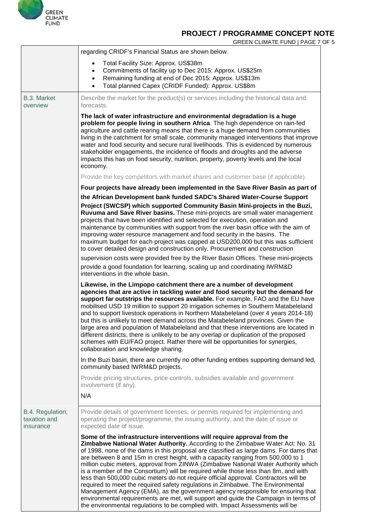

GREEN CLIMATE FUND | PAGE 7 OF 5

|                                                                                      | regarding CRIDF's Financial Status are shown below.                                                                                                                                                                                                                                                                                                                                                                                                                                                                                                                                                                                                                                                                                                                                                                                                                                                                                                       |  |  |  |  |  |
|--------------------------------------------------------------------------------------|-----------------------------------------------------------------------------------------------------------------------------------------------------------------------------------------------------------------------------------------------------------------------------------------------------------------------------------------------------------------------------------------------------------------------------------------------------------------------------------------------------------------------------------------------------------------------------------------------------------------------------------------------------------------------------------------------------------------------------------------------------------------------------------------------------------------------------------------------------------------------------------------------------------------------------------------------------------|--|--|--|--|--|
|                                                                                      | Total Facility Size: Approx. US\$38m<br>$\bullet$<br>Commitments of facility up to Dec 2015: Approx. US\$25m<br>$\bullet$<br>Remaining funding at end of Dec 2015: Approx. US\$13m<br>$\bullet$<br>Total planned Capex (CRIDF Funded): Approx. US\$8m<br>$\bullet$                                                                                                                                                                                                                                                                                                                                                                                                                                                                                                                                                                                                                                                                                        |  |  |  |  |  |
| B.3. Market<br>overview                                                              | Describe the market for the product(s) or services including the historical data and<br>forecasts.                                                                                                                                                                                                                                                                                                                                                                                                                                                                                                                                                                                                                                                                                                                                                                                                                                                        |  |  |  |  |  |
|                                                                                      | The lack of water infrastructure and environmental degradation is a huge<br>problem for people living in southern Africa. The high dependence on rain-fed<br>agriculture and cattle rearing means that there is a huge demand from communities<br>living in the catchment for small scale, community managed interventions that improve<br>water and food security and secure rural livelihoods. This is evidenced by numerous<br>stakeholder engagements, the incidence of floods and droughts and the adverse<br>impacts this has on food security, nutrition, property, poverty levels and the local<br>economy.                                                                                                                                                                                                                                                                                                                                       |  |  |  |  |  |
|                                                                                      | Provide the key competitors with market shares and customer base (if applicable).                                                                                                                                                                                                                                                                                                                                                                                                                                                                                                                                                                                                                                                                                                                                                                                                                                                                         |  |  |  |  |  |
|                                                                                      | Four projects have already been implemented in the Save River Basin as part of                                                                                                                                                                                                                                                                                                                                                                                                                                                                                                                                                                                                                                                                                                                                                                                                                                                                            |  |  |  |  |  |
|                                                                                      | the African Development bank funded SADC's Shared Water-Course Support<br>Project (SWCSP) which supported Community Basin Mini-projects in the Buzi,<br>Ruvuma and Save River basins. These mini-projects are small water management<br>projects that have been identified and selected for execution, operation and<br>maintenance by communities with support from the river basin office with the aim of<br>improving water resource management and food security in the basins. The<br>maximum budget for each project was capped at USD200,000 but this was sufficient<br>to cover detailed design and construction only. Procurement and construction                                                                                                                                                                                                                                                                                               |  |  |  |  |  |
| supervision costs were provided free by the River Basin Offices. These mini-projects |                                                                                                                                                                                                                                                                                                                                                                                                                                                                                                                                                                                                                                                                                                                                                                                                                                                                                                                                                           |  |  |  |  |  |
|                                                                                      | provide a good foundation for learning, scaling up and coordinating IWRM&D<br>interventions in the whole basin.                                                                                                                                                                                                                                                                                                                                                                                                                                                                                                                                                                                                                                                                                                                                                                                                                                           |  |  |  |  |  |
|                                                                                      | Likewise, in the Limpopo catchment there are a number of development<br>agencies that are active in tackling water and food security but the demand for<br>support far outstrips the resources available. For example, FAO and the EU have<br>mobilised USD 19 million to support 20 irrigation schemes in Southern Matabeleland<br>and to support livestock operations in Northern Matabeleland (over 4 years 2014-18)<br>but this is unlikely to meet demand across the Matabeleland provinces. Given the<br>large area and population of Matabeleland and that these interventions are located in<br>different districts, there is unlikely to be any overlap or duplication of the proposed<br>schemes with EU/FAO project. Rather there will be opportunities for synergies,<br>collaboration and knowledge sharing.                                                                                                                                 |  |  |  |  |  |
|                                                                                      | In the Buzi basin, there are currently no other funding entities supporting demand led,<br>community based IWRM&D projects.                                                                                                                                                                                                                                                                                                                                                                                                                                                                                                                                                                                                                                                                                                                                                                                                                               |  |  |  |  |  |
|                                                                                      | Provide pricing structures, price controls, subsidies available and government<br>involvement (if any).                                                                                                                                                                                                                                                                                                                                                                                                                                                                                                                                                                                                                                                                                                                                                                                                                                                   |  |  |  |  |  |
|                                                                                      | N/A                                                                                                                                                                                                                                                                                                                                                                                                                                                                                                                                                                                                                                                                                                                                                                                                                                                                                                                                                       |  |  |  |  |  |
| B.4. Regulation,<br>taxation and<br>insurance                                        | Provide details of government licenses, or permits required for implementing and<br>operating the project/programme, the issuing authority, and the date of issue or<br>expected date of issue.                                                                                                                                                                                                                                                                                                                                                                                                                                                                                                                                                                                                                                                                                                                                                           |  |  |  |  |  |
|                                                                                      | Some of the infrastructure interventions will require approval from the<br>Zimbabwe National Water Authority. According to the Zimbabwe Water Act: No. 31<br>of 1998, none of the dams in this proposal are classified as large dams. For dams that<br>are between 8 and 15m in crest height, with a capacity ranging from 500,000 to 1<br>million cubic meters, approval from ZINWA (Zimbabwe National Water Authority which<br>is a member of the Consortium) will be required while those less than 8m, and with<br>less than 500,000 cubic meters do not require official approval. Contractors will be<br>required to meet the required safety regulations in Zimbabwe. The Environmental<br>Management Agency (EMA), as the government agency responsible for ensuring that<br>environmental requirements are met, will support and guide the Campaign in terms of<br>the environmental regulations to be complied with. Impact Assessments will be |  |  |  |  |  |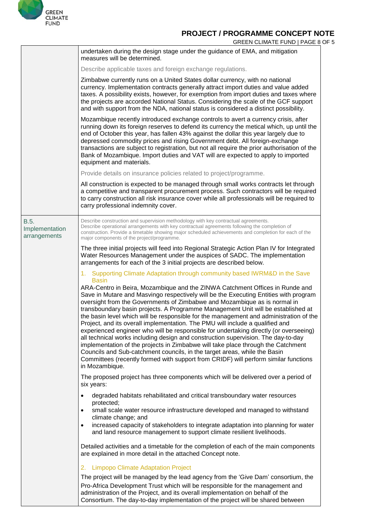

GREEN CLIMATE FUND | PAGE 8 OF 5

|                                        | undertaken during the design stage under the guidance of EMA, and mitigation<br>measures will be determined.                                                                                                                                                                                                                                                                                                                                                                                                                                                                                                                                                                                                                                                                                                                                                                             |
|----------------------------------------|------------------------------------------------------------------------------------------------------------------------------------------------------------------------------------------------------------------------------------------------------------------------------------------------------------------------------------------------------------------------------------------------------------------------------------------------------------------------------------------------------------------------------------------------------------------------------------------------------------------------------------------------------------------------------------------------------------------------------------------------------------------------------------------------------------------------------------------------------------------------------------------|
|                                        | Describe applicable taxes and foreign exchange regulations.                                                                                                                                                                                                                                                                                                                                                                                                                                                                                                                                                                                                                                                                                                                                                                                                                              |
|                                        | Zimbabwe currently runs on a United States dollar currency, with no national<br>currency. Implementation contracts generally attract import duties and value added<br>taxes. A possibility exists, however, for exemption from import duties and taxes where<br>the projects are accorded National Status. Considering the scale of the GCF support<br>and with support from the NDA, national status is considered a distinct possibility.                                                                                                                                                                                                                                                                                                                                                                                                                                              |
|                                        | Mozambique recently introduced exchange controls to avert a currency crisis, after<br>running down its foreign reserves to defend its currency the metical which, up until the<br>end of October this year, has fallen 43% against the dollar this year largely due to<br>depressed commodity prices and rising Government debt. All foreign-exchange<br>transactions are subject to registration, but not all require the prior authorisation of the<br>Bank of Mozambique. Import duties and VAT will are expected to apply to imported<br>equipment and materials.                                                                                                                                                                                                                                                                                                                    |
|                                        | Provide details on insurance policies related to project/programme.                                                                                                                                                                                                                                                                                                                                                                                                                                                                                                                                                                                                                                                                                                                                                                                                                      |
|                                        | All construction is expected to be managed through small works contracts let through<br>a competitive and transparent procurement process. Such contractors will be required<br>to carry construction all risk insurance cover while all professionals will be required to<br>carry professional indemnity cover.                                                                                                                                                                                                                                                                                                                                                                                                                                                                                                                                                                        |
| B.5.<br>Implementation<br>arrangements | Describe construction and supervision methodology with key contractual agreements.<br>Describe operational arrangements with key contractual agreements following the completion of<br>construction. Provide a timetable showing major scheduled achievements and completion for each of the<br>major components of the project/programme.                                                                                                                                                                                                                                                                                                                                                                                                                                                                                                                                               |
|                                        | The three initial projects will feed into Regional Strategic Action Plan IV for Integrated<br>Water Resources Management under the auspices of SADC. The implementation<br>arrangements for each of the 3 initial projects are described below.                                                                                                                                                                                                                                                                                                                                                                                                                                                                                                                                                                                                                                          |
|                                        | 1. Supporting Climate Adaptation through community based IWRM&D in the Save<br><b>Basin</b><br>ARA-Centro in Beira, Mozambique and the ZINWA Catchment Offices in Runde and                                                                                                                                                                                                                                                                                                                                                                                                                                                                                                                                                                                                                                                                                                              |
|                                        | Save in Mutare and Masvingo respectively will be the Executing Entities with program<br>oversight from the Governments of Zimbabwe and Mozambique as is normal in<br>transboundary basin projects. A Programme Management Unit will be established at<br>the basin level which will be responsible for the management and administration of the<br>Project, and its overall implementation. The PMU will include a qualified and<br>experienced engineer who will be responsible for undertaking directly (or overseeing)<br>all technical works including design and construction supervision. The day-to-day<br>implementation of the projects in Zimbabwe will take place through the Catchment<br>Councils and Sub-catchment councils, in the target areas, while the Basin<br>Committees (recently formed with support from CRIDF) will perform similar functions<br>in Mozambique. |
|                                        | The proposed project has three components which will be delivered over a period of<br>six years:                                                                                                                                                                                                                                                                                                                                                                                                                                                                                                                                                                                                                                                                                                                                                                                         |
|                                        | degraded habitats rehabilitated and critical transboundary water resources<br>$\bullet$<br>protected;<br>small scale water resource infrastructure developed and managed to withstand<br>$\bullet$<br>climate change; and<br>increased capacity of stakeholders to integrate adaptation into planning for water<br>$\bullet$                                                                                                                                                                                                                                                                                                                                                                                                                                                                                                                                                             |
|                                        | and land resource management to support climate resilient livelihoods.                                                                                                                                                                                                                                                                                                                                                                                                                                                                                                                                                                                                                                                                                                                                                                                                                   |
|                                        | Detailed activities and a timetable for the completion of each of the main components<br>are explained in more detail in the attached Concept note.                                                                                                                                                                                                                                                                                                                                                                                                                                                                                                                                                                                                                                                                                                                                      |
|                                        | <b>Limpopo Climate Adaptation Project</b><br>2.                                                                                                                                                                                                                                                                                                                                                                                                                                                                                                                                                                                                                                                                                                                                                                                                                                          |
|                                        | The project will be managed by the lead agency from the 'Give Dam' consortium, the<br>Pro-Africa Development Trust which will be responsible for the management and<br>administration of the Project, and its overall implementation on behalf of the<br>Consortium. The day-to-day implementation of the project will be shared between                                                                                                                                                                                                                                                                                                                                                                                                                                                                                                                                                 |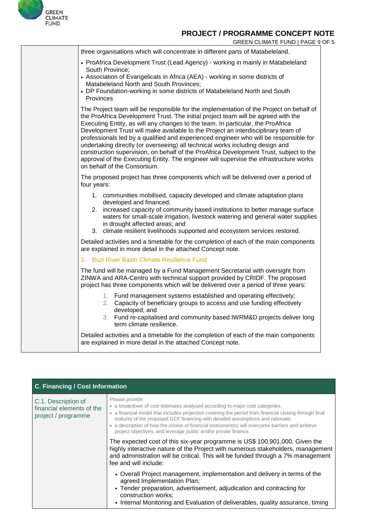

| GREEN CLIMATE FUND   PAGE 9 OF 5 |
|----------------------------------|
|----------------------------------|

| three organisations which will concentrate in different parts of Matabeleland.                                                                                                                                                                                                                                                                                                                                                                                                                                                                                                                                                                                                                                                                     |
|----------------------------------------------------------------------------------------------------------------------------------------------------------------------------------------------------------------------------------------------------------------------------------------------------------------------------------------------------------------------------------------------------------------------------------------------------------------------------------------------------------------------------------------------------------------------------------------------------------------------------------------------------------------------------------------------------------------------------------------------------|
| • ProAfrica Development Trust (Lead Agency) - working in mainly in Matabeleland<br>South Province:<br>• Association of Evangelicals in Africa (AEA) - working in some districts of<br>Matabeleland North and South Provinces;<br>• DP Foundation-working in some districts of Matabeleland North and South<br>Provinces                                                                                                                                                                                                                                                                                                                                                                                                                            |
| The Project team will be responsible for the implementation of the Project on behalf of<br>the ProAfrica Development Trust. The initial project team will be agreed with the<br>Executing Entity, as will any changes to the team. In particular, the ProAfrica<br>Development Trust will make available to the Project an interdisciplinary team of<br>professionals led by a qualified and experienced engineer who will be responsible for<br>undertaking directly (or overseeing) all technical works including design and<br>construction supervision, on behalf of the ProAfrica Development Trust, subject to the<br>approval of the Executing Entity. The engineer will supervise the infrastructure works<br>on behalf of the Consortium. |
| The proposed project has three components which will be delivered over a period of<br>four years:                                                                                                                                                                                                                                                                                                                                                                                                                                                                                                                                                                                                                                                  |
| 1. communities mobilised, capacity developed and climate adaptation plans<br>developed and financed;<br>2. increased capacity of community based institutions to better manage surface<br>waters for small-scale irrigation, livestock watering and general water supplies<br>in drought affected areas; and<br>climate resilient livelihoods supported and ecosystem services restored.<br>3.                                                                                                                                                                                                                                                                                                                                                     |
| Detailed activities and a timetable for the completion of each of the main components<br>are explained in more detail in the attached Concept note.                                                                                                                                                                                                                                                                                                                                                                                                                                                                                                                                                                                                |
| 3. Buzi River Basin Climate Resilience Fund                                                                                                                                                                                                                                                                                                                                                                                                                                                                                                                                                                                                                                                                                                        |
| The fund will be managed by a Fund Management Secretariat with oversight from<br>ZINWA and ARA-Centro with technical support provided by CRIDF. The proposed<br>project has three components which will be delivered over a period of three years:                                                                                                                                                                                                                                                                                                                                                                                                                                                                                                 |
| 1. Fund management systems established and operating effectively;<br>2. Capacity of beneficiary groups to access and use funding effectively<br>developed; and<br>3. Fund re-capitalised and community based IWRM&D projects deliver long<br>term climate resilience.                                                                                                                                                                                                                                                                                                                                                                                                                                                                              |
| Detailed activities and a timetable for the completion of each of the main components<br>are explained in more detail in the attached Concept note.                                                                                                                                                                                                                                                                                                                                                                                                                                                                                                                                                                                                |

| C. Financing / Cost Information                                         |                                                                                                                                                                                                                                                                                                                                                                                                                                                                   |  |  |  |  |
|-------------------------------------------------------------------------|-------------------------------------------------------------------------------------------------------------------------------------------------------------------------------------------------------------------------------------------------------------------------------------------------------------------------------------------------------------------------------------------------------------------------------------------------------------------|--|--|--|--|
| C.1. Description of<br>financial elements of the<br>project / programme | Please provide:<br>• a breakdown of cost estimates analysed according to major cost categories.<br>• a financial model that includes projection covering the period from financial closing through final<br>maturity of the proposed GCF financing with detailed assumptions and rationale;<br>• a description of how the choice of financial instrument(s) will overcome barriers and achieve<br>project objectives, and leverage public and/or private finance. |  |  |  |  |
|                                                                         | The expected cost of this six-year programme is US\$ 100,901,000. Given the<br>highly interactive nature of the Project with numerous stakeholders, management<br>and administration will be critical. This will be funded through a 7% management<br>fee and will include:                                                                                                                                                                                       |  |  |  |  |
|                                                                         | • Overall Project management, implementation and delivery in terms of the<br>agreed Implementation Plan;<br>• Tender preparation, advertisement, adjudication and contracting for<br>construction works;<br>• Internal Monitoring and Evaluation of deliverables, quality assurance, timing                                                                                                                                                                       |  |  |  |  |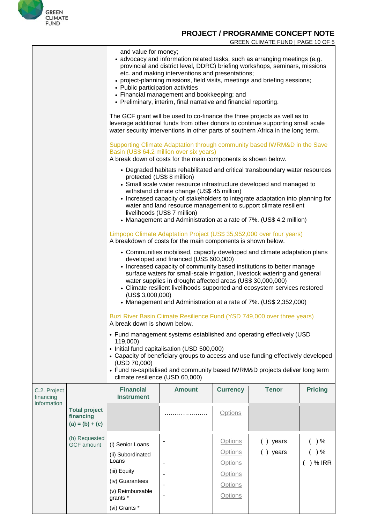

#### GREEN CLIMATE FUND | PAGE 10 OF 5

|                           |                                                        | and value for money;<br>• advocacy and information related tasks, such as arranging meetings (e.g.<br>provincial and district level, DDRC) briefing workshops, seminars, missions<br>etc. and making interventions and presentations;<br>• project-planning missions, field visits, meetings and briefing sessions;<br>• Public participation activities<br>• Financial management and bookkeeping; and<br>• Preliminary, interim, final narrative and financial reporting.                                 |                                                                                                                                      |                                                                      |                      |                         |  |
|---------------------------|--------------------------------------------------------|-------------------------------------------------------------------------------------------------------------------------------------------------------------------------------------------------------------------------------------------------------------------------------------------------------------------------------------------------------------------------------------------------------------------------------------------------------------------------------------------------------------|--------------------------------------------------------------------------------------------------------------------------------------|----------------------------------------------------------------------|----------------------|-------------------------|--|
|                           |                                                        | The GCF grant will be used to co-finance the three projects as well as to<br>leverage additional funds from other donors to continue supporting small scale<br>water security interventions in other parts of southern Africa in the long term.                                                                                                                                                                                                                                                             |                                                                                                                                      |                                                                      |                      |                         |  |
|                           |                                                        | Supporting Climate Adaptation through community based IWRM&D in the Save<br>Basin (US\$ 64.2 million over six years)<br>A break down of costs for the main components is shown below.                                                                                                                                                                                                                                                                                                                       |                                                                                                                                      |                                                                      |                      |                         |  |
|                           |                                                        | • Degraded habitats rehabilitated and critical transboundary water resources<br>protected (US\$ 8 million)<br>• Small scale water resource infrastructure developed and managed to<br>withstand climate change (US\$ 45 million)<br>• Increased capacity of stakeholders to integrate adaptation into planning for<br>water and land resource management to support climate resilient<br>livelihoods (US\$ 7 million)<br>• Management and Administration at a rate of 7%. (US\$ 4.2 million)                |                                                                                                                                      |                                                                      |                      |                         |  |
|                           |                                                        |                                                                                                                                                                                                                                                                                                                                                                                                                                                                                                             | Limpopo Climate Adaptation Project (US\$ 35,952,000 over four years)<br>A breakdown of costs for the main components is shown below. |                                                                      |                      |                         |  |
|                           |                                                        | • Communities mobilised, capacity developed and climate adaptation plans<br>developed and financed (US\$ 600,000)<br>• Increased capacity of community based institutions to better manage<br>surface waters for small-scale irrigation, livestock watering and general<br>water supplies in drought affected areas (US\$ 30,000,000)<br>• Climate resilient livelihoods supported and ecosystem services restored<br>(US\$ 3,000,000)<br>• Management and Administration at a rate of 7%. (US\$ 2,352,000) |                                                                                                                                      |                                                                      |                      |                         |  |
|                           |                                                        | Buzi River Basin Climate Resilience Fund (YSD 749,000 over three years)<br>A break down is shown below.                                                                                                                                                                                                                                                                                                                                                                                                     |                                                                                                                                      |                                                                      |                      |                         |  |
|                           |                                                        | • Fund management systems established and operating effectively (USD<br>119,000)<br>• Initial fund capitalisation (USD 500,000)<br>• Capacity of beneficiary groups to access and use funding effectively developed<br>(USD 70,000)<br>• Fund re-capitalised and community based IWRM&D projects deliver long term<br>climate resilience (USD 60,000)                                                                                                                                                       |                                                                                                                                      |                                                                      |                      |                         |  |
| C.2. Project<br>financing |                                                        | <b>Financial</b><br><b>Instrument</b>                                                                                                                                                                                                                                                                                                                                                                                                                                                                       | <b>Amount</b>                                                                                                                        | <b>Currency</b>                                                      | <b>Tenor</b>         | <b>Pricing</b>          |  |
| information               | <b>Total project</b><br>financing<br>$(a) = (b) + (c)$ |                                                                                                                                                                                                                                                                                                                                                                                                                                                                                                             |                                                                                                                                      | <b>Options</b>                                                       |                      |                         |  |
|                           | (b) Requested<br><b>GCF</b> amount                     | (i) Senior Loans<br>(ii) Subordinated<br>Loans<br>(iii) Equity                                                                                                                                                                                                                                                                                                                                                                                                                                              |                                                                                                                                      | <b>Options</b><br><b>Options</b><br><b>Options</b><br><b>Options</b> | () years<br>() years | ) %<br>) %<br>$)$ % IRR |  |
|                           |                                                        | (iv) Guarantees<br>(v) Reimbursable<br>grants *                                                                                                                                                                                                                                                                                                                                                                                                                                                             |                                                                                                                                      | Options<br><b>Options</b>                                            |                      |                         |  |
|                           |                                                        | (vi) Grants *                                                                                                                                                                                                                                                                                                                                                                                                                                                                                               |                                                                                                                                      |                                                                      |                      |                         |  |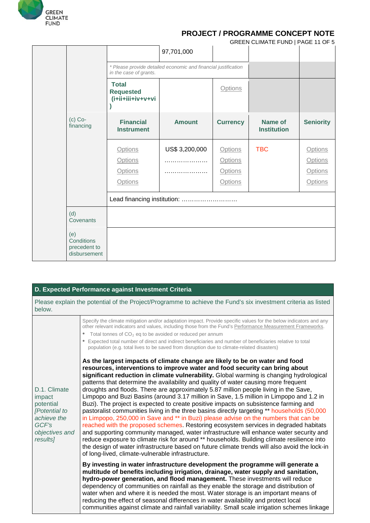

|                                                   |                                                       |                                                                |                 | GREEN CLIMATE FUND   PAGE 11 OF 5 |                  |
|---------------------------------------------------|-------------------------------------------------------|----------------------------------------------------------------|-----------------|-----------------------------------|------------------|
|                                                   |                                                       | 97,701,000                                                     |                 |                                   |                  |
|                                                   | in the case of grants.                                | * Please provide detailed economic and financial justification |                 |                                   |                  |
|                                                   | <b>Total</b><br><b>Requested</b><br>iv+v+vi+iii+ii+i) |                                                                | Options         |                                   |                  |
| $(c)$ Co-<br>financing                            | <b>Financial</b><br><b>Instrument</b>                 | <b>Amount</b>                                                  | <b>Currency</b> | Name of<br><b>Institution</b>     | <b>Seniority</b> |
|                                                   | <b>Options</b>                                        | US\$ 3,200,000                                                 | Options         | <b>TBC</b>                        | <b>Options</b>   |
|                                                   | Options                                               |                                                                | Options         |                                   | Options          |
|                                                   | <b>Options</b>                                        |                                                                | <b>Options</b>  |                                   | <b>Options</b>   |
|                                                   | Options                                               |                                                                | <b>Options</b>  |                                   | <b>Options</b>   |
|                                                   |                                                       | Lead financing institution:                                    |                 |                                   |                  |
| (d)<br>Covenants                                  |                                                       |                                                                |                 |                                   |                  |
| (e)<br>Conditions<br>precedent to<br>disbursement |                                                       |                                                                |                 |                                   |                  |

#### **D. Expected Performance against Investment Criteria**

Please explain the potential of the Project/Programme to achieve the Fund's six investment criteria as listed below.

| D.1. Climate<br>impact<br>potential<br>[Potential to<br>achieve the<br>GCF's<br>objectives and | Specify the climate mitigation and/or adaptation impact. Provide specific values for the below indicators and any<br>other relevant indicators and values, including those from the Fund's Performance Measurement Frameworks.<br>Total tonnes of $CO2$ eq to be avoided or reduced per annum<br>$\bullet$<br>Expected total number of direct and indirect beneficiaries and number of beneficiaries relative to total<br>$\bullet$<br>population (e.g. total lives to be saved from disruption due to climate-related disasters)<br>As the largest impacts of climate change are likely to be on water and food<br>resources, interventions to improve water and food security can bring about<br>significant reduction in climate vulnerability. Global warming is changing hydrological<br>patterns that determine the availability and quality of water causing more frequent<br>droughts and floods. There are approximately 5.87 million people living in the Save,<br>Limpopo and Buzi Basins (around 3.17 million in Save, 1.5 million in Limpopo and 1.2 in<br>Buzi). The project is expected to create positive impacts on subsistence farming and<br>pastoralist communities living in the three basins directly targeting ** households (50,000<br>in Limpopo, 250,000 in Save and ** in Buzi) please advise on the numbers that can be<br>reached with the proposed schemes. Restoring ecosystem services in degraded habitats<br>and supporting community managed, water infrastructure will enhance water security and |
|------------------------------------------------------------------------------------------------|---------------------------------------------------------------------------------------------------------------------------------------------------------------------------------------------------------------------------------------------------------------------------------------------------------------------------------------------------------------------------------------------------------------------------------------------------------------------------------------------------------------------------------------------------------------------------------------------------------------------------------------------------------------------------------------------------------------------------------------------------------------------------------------------------------------------------------------------------------------------------------------------------------------------------------------------------------------------------------------------------------------------------------------------------------------------------------------------------------------------------------------------------------------------------------------------------------------------------------------------------------------------------------------------------------------------------------------------------------------------------------------------------------------------------------------------------------------------------------------------------------------------------------------|
| results]                                                                                       | reduce exposure to climate risk for around ** households. Building climate resilience into<br>the design of water infrastructure based on future climate trends will also avoid the lock-in<br>of long-lived, climate-vulnerable infrastructure.                                                                                                                                                                                                                                                                                                                                                                                                                                                                                                                                                                                                                                                                                                                                                                                                                                                                                                                                                                                                                                                                                                                                                                                                                                                                                      |
|                                                                                                | By investing in water infrastructure development the programme will generate a<br>multitude of benefits including irrigation, drainage, water supply and sanitation,<br>hydro-power generation, and flood management. These investments will reduce<br>dependency of communities on rainfall as they enable the storage and distribution of<br>water when and where it is needed the most. Water storage is an important means of<br>reducing the effect of seasonal differences in water availability and protect local<br>communities against climate and rainfall variability. Small scale irrigation schemes linkage                                                                                                                                                                                                                                                                                                                                                                                                                                                                                                                                                                                                                                                                                                                                                                                                                                                                                                              |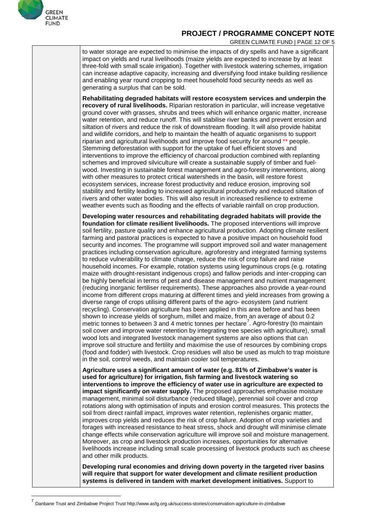

 $\overline{a}$ 

### **PROJECT / PROGRAMME CONCEPT NOTE**

GREEN CLIMATE FUND | PAGE 12 OF 5

to water storage are expected to minimise the impacts of dry spells and have a significant impact on yields and rural livelihoods (maize yields are expected to increase by at least three-fold with small scale irrigation). Together with livestock watering schemes, irrigation can increase adaptive capacity, increasing and diversifying food intake building resilience and enabling year round cropping to meet household food security needs as well as generating a surplus that can be sold.

**Rehabilitating degraded habitats will restore ecosystem services and underpin the recovery of rural livelihoods.** Riparian restoration in particular, will increase vegetative ground cover with grasses, shrubs and trees which will enhance organic matter, increase water retention, and reduce runoff. This will stabilise river banks and prevent erosion and siltation of rivers and reduce the risk of downstream flooding. It will also provide habitat and wildlife [corridors,](https://en.wikipedia.org/wiki/Wildlife_corridor) and help to maintain the health of aquatic organisms to support riparian and agricultural livelihoods and improve food security for around \*\* people. Stemming deforestation with support for the uptake of fuel efficient stoves and interventions to improve the efficiency of charcoal production combined with replanting schemes and improved silviculture will create a sustainable supply of timber and fuelwood. Investing in sustainable forest management and agro-forestry interventions, along with other measures to protect critical watersheds in the basin, will restore forest ecosystem services, increase forest productivity and reduce erosion, improving soil stability and fertility leading to increased agricultural productivity and reduced siltation of rivers and other water bodies. This will also result in increased resilience to extreme weather events such as flooding and the effects of variable rainfall on crop production.

**Developing water resources and rehabilitating degraded habitats will provide the foundation for climate resilient livelihoods.** The proposed interventions will improve soil fertility, pasture quality and enhance agricultural production. Adopting climate resilient farming and pastoral practices is expected to have a positive impact on household food security and incomes. The programme will support improved soil and water management practices including conservation agriculture, agroforestry and integrated farming systems to reduce vulnerability to climate change, reduce the risk of crop failure and raise household incomes. For example, rotation systems using leguminous crops (e.g. rotating maize with drought-resistant indigenous crops) and fallow periods and inter-cropping can be highly beneficial in terms of pest and disease management and nutrient management (reducing inorganic fertiliser requirements). These approaches also provide a year-round income from different crops maturing at different times and yield increases from growing a diverse range of crops utilising different parts of the agro- ecosystem (and nutrient recycling). Conservation agriculture has been applied in this area before and has been shown to increase yields of sorghum, millet and maize, from an average of about 0.2 metric tonnes to between 3 and 4 metric tonnes per hectare<sup>[7](#page-12-0)</sup>. Agro-forestry (to maintain soil cover and improve water retention by integrating tree species with agriculture), small wood lots and integrated livestock management systems are also options that can improve soil structure and fertility and maximise the use of resources by combining crops (food and fodder) with livestock. Crop residues will also be used as mulch to trap moisture in the soil, control weeds, and maintain cooler soil temperatures.

**Agriculture uses a significant amount of water (e.g. 81% of Zimbabwe's water is used for agriculture) for irrigation, fish farming and livestock watering so interventions to improve the efficiency of water use in agriculture are expected to impact significantly on water supply.** The proposed approaches emphasise moisture management, minimal soil disturbance (reduced tillage), perennial soil cover and crop rotations along with optimisation of inputs and erosion control measures. This protects the soil from direct rainfall impact, improves water retention, replenishes organic matter, improves crop yields and reduces the risk of crop failure. Adoption of crop varieties and forages with increased resistance to heat stress, shock and drought will minimise climate change effects while conservation agriculture will improve soil and moisture management. Moreover, as crop and livestock production increases, opportunities for alternative livelihoods increase including small scale processing of livestock products such as cheese and other milk products.

**Developing rural economies and driving down poverty in the targeted river basins will require that support for water development and climate resilient production systems is delivered in tandem with market development initiatives.** Support to

<span id="page-12-0"></span>Danbane Trust and Zimbabwe Project Trust http://www.asfg.org.uk/success-stories/conservation-agriculture-in-zimbabwe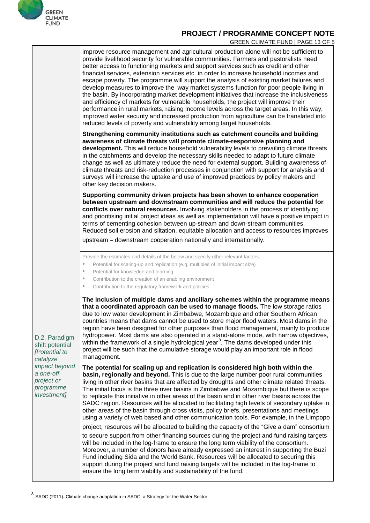

GREEN CLIMATE FUND | PAGE 13 OF 5

|                                                                                                                                       | improve resource management and agricultural production alone will not be sufficient to<br>provide livelihood security for vulnerable communities. Farmers and pastoralists need<br>better access to functioning markets and support services such as credit and other<br>financial services, extension services etc. in order to increase household incomes and<br>escape poverty. The programme will support the analysis of existing market failures and<br>develop measures to improve the way market systems function for poor people living in<br>the basin. By incorporating market development initiatives that increase the inclusiveness<br>and efficiency of markets for vulnerable households, the project will improve their<br>performance in rural markets, raising income levels across the target areas. In this way,<br>improved water security and increased production from agriculture can be translated into<br>reduced levels of poverty and vulnerability among target households. |
|---------------------------------------------------------------------------------------------------------------------------------------|------------------------------------------------------------------------------------------------------------------------------------------------------------------------------------------------------------------------------------------------------------------------------------------------------------------------------------------------------------------------------------------------------------------------------------------------------------------------------------------------------------------------------------------------------------------------------------------------------------------------------------------------------------------------------------------------------------------------------------------------------------------------------------------------------------------------------------------------------------------------------------------------------------------------------------------------------------------------------------------------------------|
|                                                                                                                                       | Strengthening community institutions such as catchment councils and building<br>awareness of climate threats will promote climate-responsive planning and<br>development. This will reduce household vulnerability levels to prevailing climate threats<br>in the catchments and develop the necessary skills needed to adapt to future climate<br>change as well as ultimately reduce the need for external support. Building awareness of<br>climate threats and risk-reduction processes in conjunction with support for analysis and<br>surveys will increase the uptake and use of improved practices by policy makers and<br>other key decision makers.                                                                                                                                                                                                                                                                                                                                              |
|                                                                                                                                       | Supporting community driven projects has been shown to enhance cooperation<br>between upstream and downstream communities and will reduce the potential for<br>conflicts over natural resources. Involving stakeholders in the process of identifying<br>and prioritising initial project ideas as well as implementation will have a positive impact in<br>terms of cementing cohesion between up-stream and down-stream communities.<br>Reduced soil erosion and siltation, equitable allocation and access to resources improves<br>upstream - downstream cooperation nationally and internationally.                                                                                                                                                                                                                                                                                                                                                                                                   |
| D.2. Paradigm<br>shift potential<br>[Potential to<br>catalyze<br>impact beyond<br>a one-off<br>project or<br>programme<br>investment] | Provide the estimates and details of the below and specify other relevant factors.<br>Potential for scaling-up and replication (e.g. multiples of initial impact size)<br>$\bullet$<br>Potential for knowledge and learning<br>$\bullet$<br>Contribution to the creation of an enabling environment<br>$\bullet$                                                                                                                                                                                                                                                                                                                                                                                                                                                                                                                                                                                                                                                                                           |
|                                                                                                                                       | Contribution to the regulatory framework and policies<br>$\bullet$<br>The inclusion of multiple dams and ancillary schemes within the programme means<br>that a coordinated approach can be used to manage floods. The low storage ratios<br>due to low water development in Zimbabwe, Mozambique and other Southern African<br>countries means that dams cannot be used to store major flood waters. Most dams in the<br>region have been designed for other purposes than flood management, mainly to produce<br>hydropower. Most dams are also operated in a stand-alone mode, with narrow objectives,<br>within the framework of a single hydrological year <sup>8</sup> . The dams developed under this<br>project will be such that the cumulative storage would play an important role in flood<br>management.                                                                                                                                                                                      |
|                                                                                                                                       | The potential for scaling up and replication is considered high both within the<br>basin, regionally and beyond. This is due to the large number poor rural communities<br>living in other river basins that are affected by droughts and other climate related threats.<br>The initial focus is the three river basins in Zimbabwe and Mozambique but there is scope<br>to replicate this initiative in other areas of the basin and in other river basins across the<br>SADC region. Resources will be allocated to facilitating high levels of secondary uptake in<br>other areas of the basin through cross visits, policy briefs, presentations and meetings<br>using a variety of web based and other communication tools. For example, in the Limpopo                                                                                                                                                                                                                                               |
|                                                                                                                                       | project, resources will be allocated to building the capacity of the "Give a dam" consortium<br>to secure support from other financing sources during the project and fund raising targets<br>will be included in the log-frame to ensure the long term viability of the consortium.<br>Moreover, a number of donors have already expressed an interest in supporting the Buzi<br>Fund including Sida and the World Bank. Resources will be allocated to securing this<br>support during the project and fund raising targets will be included in the log-frame to<br>ensure the long term viability and sustainability of the fund.                                                                                                                                                                                                                                                                                                                                                                       |

<span id="page-13-0"></span> $^8$  SADC (2011). Climate change adaptation in SADC: a Strategy for the Water Sector

 $\overline{\phantom{a}}$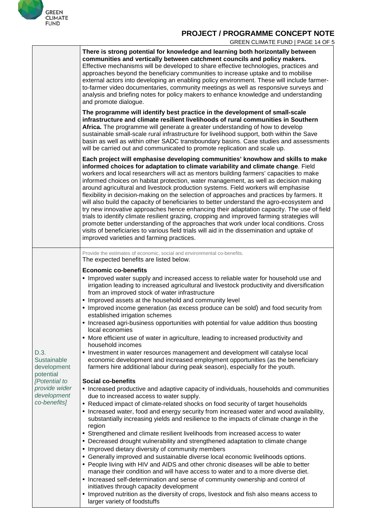

GREEN CLIMATE FUND | PAGE 14 OF 5

|                                                                                                                  | There is strong potential for knowledge and learning both horizontally between<br>communities and vertically between catchment councils and policy makers.<br>Effective mechanisms will be developed to share effective technologies, practices and<br>approaches beyond the beneficiary communities to increase uptake and to mobilise<br>external actors into developing an enabling policy environment. These will include farmer-<br>to-farmer video documentaries, community meetings as well as responsive surveys and<br>analysis and briefing notes for policy makers to enhance knowledge and understanding<br>and promote dialogue.                                                                                                                                                                                                                                                                                                                                                                                                                                                                                                                                                                                                                                                                                                                                                                                                                                                                                                                                                                                                                                                                                                                                                                                                                                                                                                                                                                                                                                                                                                     |
|------------------------------------------------------------------------------------------------------------------|---------------------------------------------------------------------------------------------------------------------------------------------------------------------------------------------------------------------------------------------------------------------------------------------------------------------------------------------------------------------------------------------------------------------------------------------------------------------------------------------------------------------------------------------------------------------------------------------------------------------------------------------------------------------------------------------------------------------------------------------------------------------------------------------------------------------------------------------------------------------------------------------------------------------------------------------------------------------------------------------------------------------------------------------------------------------------------------------------------------------------------------------------------------------------------------------------------------------------------------------------------------------------------------------------------------------------------------------------------------------------------------------------------------------------------------------------------------------------------------------------------------------------------------------------------------------------------------------------------------------------------------------------------------------------------------------------------------------------------------------------------------------------------------------------------------------------------------------------------------------------------------------------------------------------------------------------------------------------------------------------------------------------------------------------------------------------------------------------------------------------------------------------|
|                                                                                                                  | The programme will identify best practice in the development of small-scale<br>infrastructure and climate resilient livelihoods of rural communities in Southern<br>Africa. The programme will generate a greater understanding of how to develop<br>sustainable small-scale rural infrastructure for livelihood support, both within the Save<br>basin as well as within other SADC transboundary basins. Case studies and assessments<br>will be carried out and communicated to promote replication and scale up.                                                                                                                                                                                                                                                                                                                                                                                                                                                                                                                                                                                                                                                                                                                                                                                                                                                                                                                                                                                                                                                                                                                                                                                                                                                                                                                                                                                                                                                                                                                                                                                                                              |
|                                                                                                                  | Each project will emphasise developing communities' knowhow and skills to make<br>informed choices for adaptation to climate variability and climate change. Field<br>workers and local researchers will act as mentors building farmers' capacities to make<br>informed choices on habitat protection, water management, as well as decision making<br>around agricultural and livestock production systems. Field workers will emphasise<br>flexibility in decision-making on the selection of approaches and practices by farmers. It<br>will also build the capacity of beneficiaries to better understand the agro-ecosystem and<br>try new innovative approaches hence enhancing their adaptation capacity. The use of field<br>trials to identify climate resilient grazing, cropping and improved farming strategies will<br>promote better understanding of the approaches that work under local conditions. Cross<br>visits of beneficiaries to various field trials will aid in the dissemination and uptake of<br>improved varieties and farming practices.                                                                                                                                                                                                                                                                                                                                                                                                                                                                                                                                                                                                                                                                                                                                                                                                                                                                                                                                                                                                                                                                           |
|                                                                                                                  | Provide the estimates of economic, social and environmental co-benefits.<br>The expected benefits are listed below.                                                                                                                                                                                                                                                                                                                                                                                                                                                                                                                                                                                                                                                                                                                                                                                                                                                                                                                                                                                                                                                                                                                                                                                                                                                                                                                                                                                                                                                                                                                                                                                                                                                                                                                                                                                                                                                                                                                                                                                                                               |
| D.3.<br>Sustainable<br>development<br>potential<br>[Potential to<br>provide wider<br>development<br>co-benefits] | <b>Economic co-benefits</b><br>• Improved water supply and increased access to reliable water for household use and<br>irrigation leading to increased agricultural and livestock productivity and diversification<br>from an improved stock of water infrastructure<br>• Improved assets at the household and community level<br>• Improved income generation (as excess produce can be sold) and food security from<br>established irrigation schemes<br>• Increased agri-business opportunities with potential for value addition thus boosting<br>local economies<br>• More efficient use of water in agriculture, leading to increased productivity and<br>household incomes<br>• Investment in water resources management and development will catalyse local<br>economic development and increased employment opportunities (as the beneficiary<br>farmers hire additional labour during peak season), especially for the youth.<br><b>Social co-benefits</b><br>• Increased productive and adaptive capacity of individuals, households and communities<br>due to increased access to water supply.<br>• Reduced impact of climate-related shocks on food security of target households<br>• Increased water, food and energy security from increased water and wood availability,<br>substantially increasing yields and resilience to the impacts of climate change in the<br>region<br>• Strengthened and climate resilient livelihoods from increased access to water<br>• Decreased drought vulnerability and strengthened adaptation to climate change<br>• Improved dietary diversity of community members<br>• Generally improved and sustainable diverse local economic livelihoods options.<br>• People living with HIV and AIDS and other chronic diseases will be able to better<br>manage their condition and will have access to water and to a more diverse diet.<br>• Increased self-determination and sense of community ownership and control of<br>initiatives through capacity development<br>• Improved nutrition as the diversity of crops, livestock and fish also means access to<br>larger variety of foodstuffs |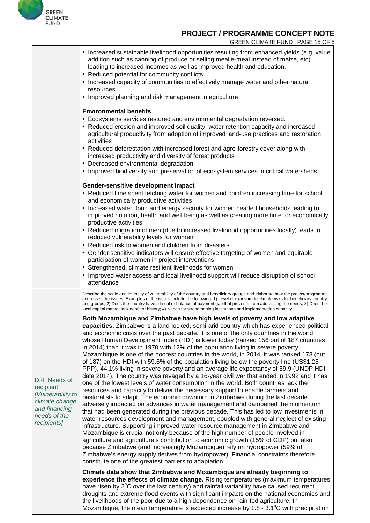

GREEN CLIMATE FUND | PAGE 15 OF 5

|                                                                                                                   | • Increased sustainable livelihood opportunities resulting from enhanced yields (e.g. value<br>addition such as canning of produce or selling mealie-meal instead of maize, etc)<br>leading to increased incomes as well as improved health and education.<br>• Reduced potential for community conflicts<br>• Increased capacity of communities to effectively manage water and other natural<br>resources<br>• Improved planning and risk management in agriculture                                                                                                                                                                                                                                                                                                                                                                                                                                                                                                                                                                                                                                                                                                                                                                                                                                                                                                                                                                                                                                                                                                                                                                                                                                                                                                                                                                                                                                                                                            |
|-------------------------------------------------------------------------------------------------------------------|------------------------------------------------------------------------------------------------------------------------------------------------------------------------------------------------------------------------------------------------------------------------------------------------------------------------------------------------------------------------------------------------------------------------------------------------------------------------------------------------------------------------------------------------------------------------------------------------------------------------------------------------------------------------------------------------------------------------------------------------------------------------------------------------------------------------------------------------------------------------------------------------------------------------------------------------------------------------------------------------------------------------------------------------------------------------------------------------------------------------------------------------------------------------------------------------------------------------------------------------------------------------------------------------------------------------------------------------------------------------------------------------------------------------------------------------------------------------------------------------------------------------------------------------------------------------------------------------------------------------------------------------------------------------------------------------------------------------------------------------------------------------------------------------------------------------------------------------------------------------------------------------------------------------------------------------------------------|
|                                                                                                                   | <b>Environmental benefits</b><br>• Ecosystems services restored and environmental degradation reversed.<br>• Reduced erosion and improved soil quality, water retention capacity and increased<br>agricultural productivity from adoption of improved land-use practices and restoration<br>activities<br>• Reduced deforestation with increased forest and agro-forestry cover along with<br>increased productivity and diversity of forest products<br>• Decreased environmental degradation<br>• Improved biodiversity and preservation of ecosystem services in critical watersheds<br>Gender-sensitive development impact<br>• Reduced time spent fetching water for women and children increasing time for school<br>and economically productive activities<br>• Increased water, food and energy security for women headed households leading to<br>improved nutrition, health and well being as well as creating more time for economically<br>productive activities<br>• Reduced migration of men (due to increased livelihood opportunities locally) leads to<br>reduced vulnerability levels for women<br>• Reduced risk to women and children from disasters<br>• Gender sensitive indicators will ensure effective targeting of women and equitable<br>participation of women in project interventions<br>• Strengthened, climate resilient livelihoods for women<br>• Improved water access and local livelihood support will reduce disruption of school                                                                                                                                                                                                                                                                                                                                                                                                                                                                                          |
|                                                                                                                   | attendance<br>Describe the scale and intensity of vulnerability of the country and beneficiary groups and elaborate how the project/programme<br>addresses the issues. Examples of the issues include the following: 1) Level of exposure to climate risks for beneficiary country<br>and groups; 2) Does the country have a fiscal or balance of payment gap that prevents from addressing the needs; 3) Does the                                                                                                                                                                                                                                                                                                                                                                                                                                                                                                                                                                                                                                                                                                                                                                                                                                                                                                                                                                                                                                                                                                                                                                                                                                                                                                                                                                                                                                                                                                                                               |
| D.4. Needs of<br>recipient<br>[Vulnerability to<br>climate change<br>and financing<br>needs of the<br>recipients] | local capital market lack depth or history; 4) Needs for strengthening institutions and implementation capacity.<br>Both Mozambique and Zimbabwe have high levels of poverty and low adaptive<br>capacities. Zimbabwe is a land-locked, semi-arid country which has experienced political<br>and economic crisis over the past decade. It is one of the only countries in the world<br>whose Human Development Index (HDI) is lower today (ranked 156 out of 187 countries<br>in 2014) than it was in 1970 with 12% of the population living in severe poverty.<br>Mozambique is one of the poorest countries in the world, in 2014, it was ranked 178 (out<br>of 187) on the HDI with 59.6% of the population living below the poverty line (US\$1.25<br>PPP), 44.1% living in severe poverty and an average life expectancy of 59.9 (UNDP HDI<br>data 2014). The country was ravaged by a 16-year civil war that ended in 1992 and it has<br>one of the lowest levels of water consumption in the world. Both countries lack the<br>resources and capacity to deliver the necessary support to enable farmers and<br>pastoralists to adapt. The economic downturn in Zimbabwe during the last decade<br>adversely impacted on advances in water management and dampened the momentum<br>that had been generated during the previous decade. This has led to low investments in<br>water resources development and management, coupled with general neglect of existing<br>infrastructure. Supporting improved water resource management in Zimbabwe and<br>Mozambique is crucial not only because of the high number of people involved in<br>agriculture and agriculture's contribution to economic growth (15% of GDP) but also<br>because Zimbabwe (and increasingly Mozambique) rely on hydropower (59% of<br>Zimbabwe's energy supply derives from hydropower). Financial constraints therefore<br>constitute one of the greatest barriers to adaptation. |
|                                                                                                                   | Climate data show that Zimbabwe and Mozambique are already beginning to<br>experience the effects of climate change. Rising temperatures (maximum temperatures<br>have risen by 2 <sup>°</sup> C over the last century) and rainfall variability have caused recurrent<br>droughts and extreme flood events with significant impacts on the national economies and<br>the livelihoods of the poor due to a high dependence on rain-fed agriculture. In<br>Mozambique, the mean temperature is expected increase by $1.8 - 3.1^{\circ}$ C with precipitation                                                                                                                                                                                                                                                                                                                                                                                                                                                                                                                                                                                                                                                                                                                                                                                                                                                                                                                                                                                                                                                                                                                                                                                                                                                                                                                                                                                                      |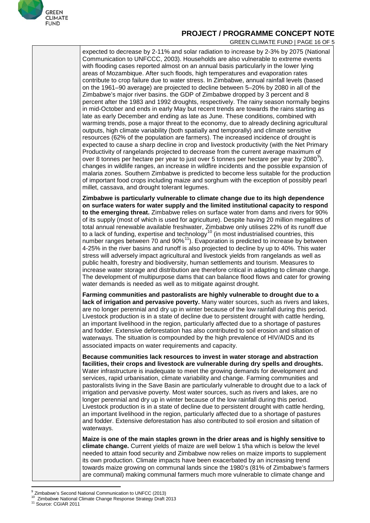

GREEN CLIMATE FUND | PAGE 16 OF 5

expected to decrease by 2-11% and solar radiation to increase by 2-3% by 2075 (National Communication to UNFCCC, 2003). Households are also vulnerable to extreme events with flooding cases reported almost on an annual basis particularly in the lower lying areas of Mozambique. After such floods, high temperatures and evaporation rates contribute to crop failure due to water stress. In Zimbabwe, annual rainfall levels (based on the 1961–90 average) are projected to decline between 5–20% by 2080 in all of the Zimbabwe's major river basins. the GDP of Zimbabwe dropped by 3 percent and 8 percent after the 1983 and 1992 droughts, respectively. The rainy season normally begins in mid-October and ends in early May but recent trends are towards the rains starting as late as early December and ending as late as June. These conditions, combined with warming trends, pose a major threat to the economy, due to already declining agricultural outputs, high climate variability (both spatially and temporally) and climate sensitive resources (62% of the population are farmers). The increased incidence of drought is expected to cause a sharp decline in crop and livestock productivity (with the Net Primary Productivity of rangelands projected to decrease from the current average maximum of over 8 tonnes per hectare per year to just over 5 tonnes per hectare per year by 2080 $^{\circ}$ ), changes in wildlife ranges, an increase in wildfire incidents and the possible expansion of malaria zones. Southern Zimbabwe is predicted to become less suitable for the production of important food crops including maize and sorghum with the exception of possibly pearl millet, cassava, and drought tolerant legumes.

**Zimbabwe is particularly vulnerable to climate change due to its high dependence on surface waters for water supply and the limited institutional capacity to respond to the emerging threat.** Zimbabwe relies on surface water from dams and rivers for 90% of its supply (most of which is used for agriculture). Despite having 20 million megalitres of total annual renewable available freshwater, Zimbabwe only utilises 22% of its runoff due to a lack of funding, expertise and technology $^{10}$  $^{10}$  $^{10}$  (in most industrialised countries, this number ranges between 70 and 90%<sup>[11](#page-16-2)</sup>). Evaporation is predicted to increase by between 4-25% in the river basins and runoff is also projected to decline by up to 40%. This water stress will adversely impact agricultural and livestock yields from rangelands as well as public health, forestry and biodiversity, human settlements and tourism. Measures to increase water storage and distribution are therefore critical in adapting to climate change. The development of multipurpose dams that can balance flood flows and cater for growing water demands is needed as well as to mitigate against drought.

**Farming communities and pastoralists are highly vulnerable to drought due to a lack of irrigation and pervasive poverty.** Many water sources, such as rivers and lakes, are no longer perennial and dry up in winter because of the low rainfall during this period. Livestock production is in a state of decline due to persistent drought with cattle herding, an important livelihood in the region, particularly affected due to a shortage of pastures and fodder. Extensive deforestation has also contributed to soil erosion and siltation of waterways. The situation is compounded by the high prevalence of HIV/AIDS and its associated impacts on water requirements and capacity.

**Because communities lack resources to invest in water storage and abstraction facilities, their crops and livestock are vulnerable during dry spells and droughts.** Water infrastructure is inadequate to meet the growing demands for development and services, rapid urbanisation, climate variability and change. Farming communities and pastoralists living in the Save Basin are particularly vulnerable to drought due to a lack of irrigation and pervasive poverty. Most water sources, such as rivers and lakes, are no longer perennial and dry up in winter because of the low rainfall during this period. Livestock production is in a state of decline due to persistent drought with cattle herding, an important livelihood in the region, particularly affected due to a shortage of pastures and fodder. Extensive deforestation has also contributed to soil erosion and siltation of waterways.

**Maize is one of the main staples grown in the drier areas and is highly sensitive to climate change.** Current yields of maize are well below 1 t/ha which is below the level needed to attain food security and Zimbabwe now relies on maize imports to supplement its own production. Climate impacts have been exacerbated by an increasing trend towards maize growing on communal lands since the 1980's (81% of Zimbabwe's farmers are communal) making communal farmers much more vulnerable to climate change and

<span id="page-16-0"></span><sup>&</sup>lt;sup>9</sup> Zimbabwe's Second National Communication to UNFCC (2013)

<span id="page-16-2"></span><span id="page-16-1"></span><sup>&</sup>lt;sup>10</sup> Zimbabwe National Climate Change Response Strategy Draft 2013<br><sup>11</sup> Source: CGIAR 2011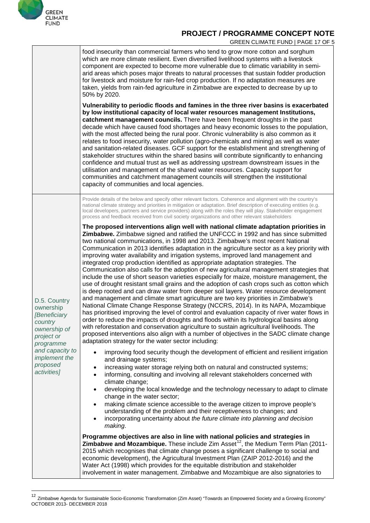

 $\overline{\phantom{a}}$ 

#### **PROJECT / PROGRAMME CONCEPT NOTE**

GREEN CLIMATE FUND | PAGE 17 OF 5

|                                                                                                                                                                              | food insecurity than commercial farmers who tend to grow more cotton and sorghum<br>which are more climate resilient. Even diversified livelihood systems with a livestock<br>component are expected to become more vulnerable due to climatic variability in semi-<br>arid areas which poses major threats to natural processes that sustain fodder production<br>for livestock and moisture for rain-fed crop production. If no adaptation measures are<br>taken, yields from rain-fed agriculture in Zimbabwe are expected to decrease by up to<br>50% by 2020.                                                                                                                                                                                                                                                                                                                                                                                                                                                                                                                                                                                                                                                                                                                                                                                                                                                                                                                                                                     |
|------------------------------------------------------------------------------------------------------------------------------------------------------------------------------|----------------------------------------------------------------------------------------------------------------------------------------------------------------------------------------------------------------------------------------------------------------------------------------------------------------------------------------------------------------------------------------------------------------------------------------------------------------------------------------------------------------------------------------------------------------------------------------------------------------------------------------------------------------------------------------------------------------------------------------------------------------------------------------------------------------------------------------------------------------------------------------------------------------------------------------------------------------------------------------------------------------------------------------------------------------------------------------------------------------------------------------------------------------------------------------------------------------------------------------------------------------------------------------------------------------------------------------------------------------------------------------------------------------------------------------------------------------------------------------------------------------------------------------|
|                                                                                                                                                                              | Vulnerability to periodic floods and famines in the three river basins is exacerbated<br>by low institutional capacity of local water resources management Institutions,<br>catchment management councils. There have been frequent droughts in the past<br>decade which have caused food shortages and heavy economic losses to the population,<br>with the most affected being the rural poor. Chronic vulnerability is also common as it<br>relates to food insecurity, water pollution (agro-chemicals and mining) as well as water<br>and sanitation-related diseases. GCF support for the establishment and strengthening of<br>stakeholder structures within the shared basins will contribute significantly to enhancing<br>confidence and mutual trust as well as addressing upstream downstream issues in the<br>utilisation and management of the shared water resources. Capacity support for<br>communities and catchment management councils will strengthen the institutional<br>capacity of communities and local agencies.                                                                                                                                                                                                                                                                                                                                                                                                                                                                                            |
| D.5. Country<br>ownership<br><b>[Beneficiary</b><br>country<br>ownership of<br>project or<br>programme<br>and capacity to<br><i>implement the</i><br>proposed<br>activities] | Provide details of the below and specify other relevant factors. Coherence and alignment with the country's<br>national climate strategy and priorities in mitigation or adaptation. Brief description of executing entities (e.g.<br>local developers, partners and service providers) along with the roles they will play. Stakeholder engagement<br>process and feedback received from civil society organizations and other relevant stakeholders                                                                                                                                                                                                                                                                                                                                                                                                                                                                                                                                                                                                                                                                                                                                                                                                                                                                                                                                                                                                                                                                                  |
|                                                                                                                                                                              | The proposed interventions align well with national climate adaptation priorities in<br>Zimbabwe. Zimbabwe signed and ratified the UNFCCC in 1992 and has since submitted<br>two national communications, in 1998 and 2013. Zimbabwe's most recent National<br>Communication in 2013 identifies adaptation in the agriculture sector as a key priority with<br>improving water availability and irrigation systems, improved land management and<br>integrated crop production identified as appropriate adaptation strategies. The<br>Communication also calls for the adoption of new agricultural management strategies that<br>include the use of short season varieties especially for maize, moisture management, the<br>use of drought resistant small grains and the adoption of cash crops such as cotton which<br>is deep rooted and can draw water from deeper soil layers. Water resource development<br>and management and climate smart agriculture are two key priorities in Zimbabwe's<br>National Climate Change Response Strategy (NCCRS, 2014). In its NAPA, Mozambique<br>has prioritised improving the level of control and evaluation capacity of river water flows in<br>order to reduce the impacts of droughts and floods within its hydrological basins along<br>with reforestation and conservation agriculture to sustain agricultural livelihoods. The<br>proposed interventions also align with a number of objectives in the SADC climate change<br>adaptation strategy for the water sector including: |
|                                                                                                                                                                              | improving food security though the development of efficient and resilient irrigation<br>and drainage systems;<br>increasing water storage relying both on natural and constructed systems;<br>٠<br>informing, consulting and involving all relevant stakeholders concerned with<br>$\bullet$<br>climate change;<br>developing the local knowledge and the technology necessary to adapt to climate<br>$\bullet$                                                                                                                                                                                                                                                                                                                                                                                                                                                                                                                                                                                                                                                                                                                                                                                                                                                                                                                                                                                                                                                                                                                        |
|                                                                                                                                                                              | change in the water sector;<br>making climate science accessible to the average citizen to improve people's<br>$\bullet$<br>understanding of the problem and their receptiveness to changes; and<br>incorporating uncertainty about the future climate into planning and decision<br>$\bullet$<br>making.                                                                                                                                                                                                                                                                                                                                                                                                                                                                                                                                                                                                                                                                                                                                                                                                                                                                                                                                                                                                                                                                                                                                                                                                                              |
|                                                                                                                                                                              | Programme objectives are also in line with national policies and strategies in<br>Zimbabwe and Mozambique. These include Zim Asset <sup>12</sup> , the Medium Term Plan (2011-<br>2015 which recognises that climate change poses a significant challenge to social and<br>economic development), the Agricultural Investment Plan (ZAIP 2012-2016) and the<br>Water Act (1998) which provides for the equitable distribution and stakeholder<br>involvement in water management. Zimbabwe and Mozambique are also signatories to                                                                                                                                                                                                                                                                                                                                                                                                                                                                                                                                                                                                                                                                                                                                                                                                                                                                                                                                                                                                      |

<span id="page-17-0"></span><sup>&</sup>lt;sup>12</sup> Zimbabwe Agenda for Sustainable Socio-Economic Transformation (Zim Asset) "Towards an Empowered Society and a Growing Economy" OCTOBER 2013- DECEMBER 2018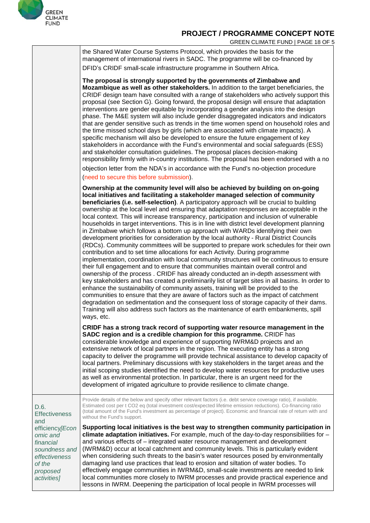

GREEN CLIMATE FUND | PAGE 18 OF 5

|                                                                                                                                                        | ONLLIN OLIMATE FOND   FAOL TO OF                                                                                                                                                                                                                                                                                                                                                                                                                                                                                                                                                                                                                                                                                                                                                                                                                                                                                                                                                                                                                                                                                                                                                                                                                                                                                                                                                                                                                                                                                                                                                                                                                                             |
|--------------------------------------------------------------------------------------------------------------------------------------------------------|------------------------------------------------------------------------------------------------------------------------------------------------------------------------------------------------------------------------------------------------------------------------------------------------------------------------------------------------------------------------------------------------------------------------------------------------------------------------------------------------------------------------------------------------------------------------------------------------------------------------------------------------------------------------------------------------------------------------------------------------------------------------------------------------------------------------------------------------------------------------------------------------------------------------------------------------------------------------------------------------------------------------------------------------------------------------------------------------------------------------------------------------------------------------------------------------------------------------------------------------------------------------------------------------------------------------------------------------------------------------------------------------------------------------------------------------------------------------------------------------------------------------------------------------------------------------------------------------------------------------------------------------------------------------------|
|                                                                                                                                                        | the Shared Water Course Systems Protocol, which provides the basis for the<br>management of international rivers in SADC. The programme will be co-financed by                                                                                                                                                                                                                                                                                                                                                                                                                                                                                                                                                                                                                                                                                                                                                                                                                                                                                                                                                                                                                                                                                                                                                                                                                                                                                                                                                                                                                                                                                                               |
|                                                                                                                                                        | DFID's CRIDF small-scale infrastructure programme in Southern Africa.                                                                                                                                                                                                                                                                                                                                                                                                                                                                                                                                                                                                                                                                                                                                                                                                                                                                                                                                                                                                                                                                                                                                                                                                                                                                                                                                                                                                                                                                                                                                                                                                        |
|                                                                                                                                                        | The proposal is strongly supported by the governments of Zimbabwe and<br>Mozambique as well as other stakeholders. In addition to the target beneficiaries, the<br>CRIDF design team have consulted with a range of stakeholders who actively support this<br>proposal (see Section G). Going forward, the proposal design will ensure that adaptation<br>interventions are gender equitable by incorporating a gender analysis into the design<br>phase. The M&E system will also include gender disaggregated indicators and indicators<br>that are gender sensitive such as trends in the time women spend on household roles and<br>the time missed school days by girls (which are associated with climate impacts). A<br>specific mechanism will also be developed to ensure the future engagement of key<br>stakeholders in accordance with the Fund's environmental and social safeguards (ESS)<br>and stakeholder consultation guidelines. The proposal places decision-making<br>responsibility firmly with in-country institutions. The proposal has been endorsed with a no<br>objection letter from the NDA's in accordance with the Fund's no-objection procedure<br>(need to secure this before submission).                                                                                                                                                                                                                                                                                                                                                                                                                                                  |
|                                                                                                                                                        | Ownership at the community level will also be achieved by building on on-going<br>local initiatives and facilitating a stakeholder managed selection of community<br>beneficiaries (i.e. self-selection). A participatory approach will be crucial to building<br>ownership at the local level and ensuring that adaptation responses are acceptable in the<br>local context. This will increase transparency, participation and inclusion of vulnerable<br>households in target interventions. This is in line with district level development planning<br>in Zimbabwe which follows a bottom up approach with WARDs identifying their own<br>development priorities for consideration by the local authority - Rural District Councils<br>(RDCs). Community committees will be supported to prepare work schedules for their own<br>contribution and to set time allocations for each Activity. During programme<br>implementation, coordination with local community structures will be continuous to ensure<br>their full engagement and to ensure that communities maintain overall control and<br>ownership of the process. CRIDF has already conducted an in-depth assessment with<br>key stakeholders and has created a preliminarily list of target sites in all basins. In order to<br>enhance the sustainability of community assets, training will be provided to the<br>communities to ensure that they are aware of factors such as the impact of catchment<br>degradation on sedimentation and the consequent loss of storage capacity of their dams.<br>Training will also address such factors as the maintenance of earth embankments, spill<br>ways, etc. |
|                                                                                                                                                        | CRIDF has a strong track record of supporting water resource management in the<br>SADC region and is a credible champion for this programme. CRIDF has<br>considerable knowledge and experience of supporting IWRM&D projects and an<br>extensive network of local partners in the region. The executing entity has a strong<br>capacity to deliver the programme will provide technical assistance to develop capacity of<br>local partners. Preliminary discussions with key stakeholders in the target areas and the<br>initial scoping studies identified the need to develop water resources for productive uses<br>as well as environmental protection. In particular, there is an urgent need for the<br>development of irrigated agriculture to provide resilience to climate change.                                                                                                                                                                                                                                                                                                                                                                                                                                                                                                                                                                                                                                                                                                                                                                                                                                                                                |
| D.6.<br><b>Effectiveness</b><br>and<br>efficiency[Econ<br>omic and<br>financial<br>soundness and<br>effectiveness<br>of the<br>proposed<br>activities] | Provide details of the below and specify other relevant factors (i.e. debt service coverage ratio), if available.<br>Estimated cost per t CO2 eq (total investment cost/expected lifetime emission reductions). Co-financing ratio<br>(total amount of the Fund's investment as percentage of project). Economic and financial rate of return with and<br>without the Fund's support.                                                                                                                                                                                                                                                                                                                                                                                                                                                                                                                                                                                                                                                                                                                                                                                                                                                                                                                                                                                                                                                                                                                                                                                                                                                                                        |
|                                                                                                                                                        | Supporting local initiatives is the best way to strengthen community participation in<br>climate adaptation initiatives. For example, much of the day-to-day responsibilities for -<br>and various effects of – integrated water resource management and development<br>(IWRM&D) occur at local catchment and community levels. This is particularly evident<br>when considering such threats to the basin's water resources posed by environmentally<br>damaging land use practices that lead to erosion and siltation of water bodies. To<br>effectively engage communities in IWRM&D, small-scale investments are needed to link<br>local communities more closely to IWRM processes and provide practical experience and<br>lessons in IWRM. Deepening the participation of local people in IWRM processes will                                                                                                                                                                                                                                                                                                                                                                                                                                                                                                                                                                                                                                                                                                                                                                                                                                                          |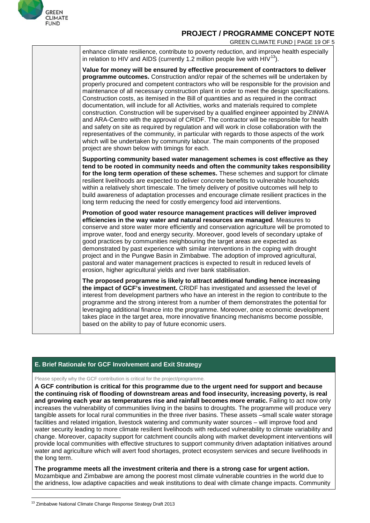

GREEN CLIMATE FUND | PAGE 19 OF 5

| enhance climate resilience, contribute to poverty reduction, and improve health especially<br>in relation to HIV and AIDS (currently 1.2 million people live with $HIV^{13}$ ).                                                                                                                                                                                                                                                                                                                                                                                                                                                                                                                                                                                                                                                                                                                                                                                                                                                                                                          |
|------------------------------------------------------------------------------------------------------------------------------------------------------------------------------------------------------------------------------------------------------------------------------------------------------------------------------------------------------------------------------------------------------------------------------------------------------------------------------------------------------------------------------------------------------------------------------------------------------------------------------------------------------------------------------------------------------------------------------------------------------------------------------------------------------------------------------------------------------------------------------------------------------------------------------------------------------------------------------------------------------------------------------------------------------------------------------------------|
| Value for money will be ensured by effective procurement of contractors to deliver<br>programme outcomes. Construction and/or repair of the schemes will be undertaken by<br>properly procured and competent contractors who will be responsible for the provision and<br>maintenance of all necessary construction plant in order to meet the design specifications.<br>Construction costs, as itemised in the Bill of quantities and as required in the contract<br>documentation, will include for all Activities, works and materials required to complete<br>construction. Construction will be supervised by a qualified engineer appointed by ZINWA<br>and ARA-Centro with the approval of CRIDF. The contractor will be responsible for health<br>and safety on site as required by regulation and will work in close collaboration with the<br>representatives of the community, in particular with regards to those aspects of the work<br>which will be undertaken by community labour. The main components of the proposed<br>project are shown below with timings for each. |
| Supporting community based water management schemes is cost effective as they<br>tend to be rooted in community needs and often the community takes responsibility<br>for the long term operation of these schemes. These schemes and support for climate<br>resilient livelihoods are expected to deliver concrete benefits to vulnerable households<br>within a relatively short timescale. The timely delivery of positive outcomes will help to<br>build awareness of adaptation processes and encourage climate resilient practices in the<br>long term reducing the need for costly emergency food aid interventions.                                                                                                                                                                                                                                                                                                                                                                                                                                                              |
| Promotion of good water resource management practices will deliver improved<br>efficiencies in the way water and natural resources are managed. Measures to<br>conserve and store water more efficiently and conservation agriculture will be promoted to<br>improve water, food and energy security. Moreover, good levels of secondary uptake of<br>good practices by communities neighbouring the target areas are expected as<br>demonstrated by past experience with similar interventions in the coping with drought<br>project and in the Pungwe Basin in Zimbabwe. The adoption of improved agricultural,<br>pastoral and water management practices is expected to result in reduced levels of<br>erosion, higher agricultural yields and river bank stabilisation.                                                                                                                                                                                                                                                                                                             |
| The proposed programme is likely to attract additional funding hence increasing<br>the impact of GCF's investment. CRIDF has investigated and assessed the level of<br>interest from development partners who have an interest in the region to contribute to the<br>programme and the strong interest from a number of them demonstrates the potential for<br>leveraging additional finance into the programme. Moreover, once economic development<br>takes place in the target area, more innovative financing mechanisms become possible,<br>based on the ability to pay of future economic users.                                                                                                                                                                                                                                                                                                                                                                                                                                                                                   |

#### **E. Brief Rationale for GCF Involvement and Exit Strategy**

Please specify why the GCF contribution is critical for the project/programme.

**A GCF contribution is critical for this programme due to the urgent need for support and because the continuing risk of flooding of downstream areas and food insecurity, increasing poverty, is real and growing each year as temperatures rise and rainfall becomes more erratic.** Failing to act now only increases the vulnerability of communities living in the basins to droughts. The programme will produce very tangible assets for local rural communities in the three river basins. These assets –small scale water storage facilities and related irrigation, livestock watering and community water sources – will improve food and water security leading to more climate resilient livelihoods with reduced vulnerability to climate variability and change. Moreover, capacity support for catchment councils along with market development interventions will provide local communities with effective structures to support community driven adaptation initiatives around water and agriculture which will avert food shortages, protect ecosystem services and secure livelihoods in the long term.

**The programme meets all the investment criteria and there is a strong case for urgent action.** Mozambique and Zimbabwe are among the poorest most climate vulnerable countries in the world due to the aridness, low adaptive capacities and weak institutions to deal with climate change impacts. Community

<span id="page-19-0"></span><sup>&</sup>lt;sup>13</sup> Zimbabwe National Climate Change Response Strategy Draft 2013  $\overline{\phantom{a}}$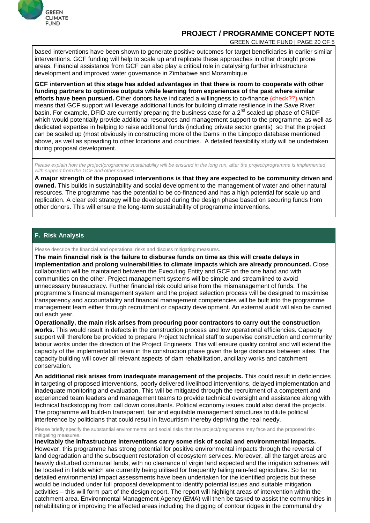

GREEN CLIMATE FUND | PAGE 20 OF 5

based interventions have been shown to generate positive outcomes for target beneficiaries in earlier similar interventions. GCF funding will help to scale up and replicate these approaches in other drought prone areas. Financial assistance from GCF can also play a critical role in catalysing further infrastructure development and improved water governance in Zimbabwe and Mozambique.

**GCF intervention at this stage has added advantages in that there is room to cooperate with other funding partners to optimise outputs while learning from experiences of the past where similar efforts have been pursued.** Other donors have indicated a willingness to co-finance (check??) which means that GCF support will leverage additional funds for building climate resilience in the Save River basin. For example, DFID are currently preparing the business case for a  $2^{nd}$  scaled up phase of CRIDF which would potentially provide additional resources and management support to the programme, as well as dedicated expertise in helping to raise additional funds (including private sector grants) so that the project can be scaled up (most obviously in constructing more of the Dams in the Limpopo database mentioned above, as well as spreading to other locations and countries. A detailed feasibility study will be undertaken during proposal development.

Please explain how the project/programme sustainability will be ensured in the long run, after the project/programme is implemented *with support from the GCF and other sources.*

**A major strength of the proposed interventions is that they are expected to be community driven and owned.** This builds in sustainability and social development to the management of water and other natural resources. The programme has the potential to be co-financed and has a high potential for scale up and replication. A clear exit strategy will be developed during the design phase based on securing funds from other donors. This will ensure the long-term sustainability of programme interventions.

#### **F. Risk Analysis**

Please describe the financial and operational risks and discuss mitigating measures.

**The main financial risk is the failure to disburse funds on time as this will create delays in implementation and prolong vulnerabilities to climate impacts which are already pronounced.** Close collaboration will be maintained between the Executing Entity and GCF on the one hand and with communities on the other. Project management systems will be simple and streamlined to avoid unnecessary bureaucracy. Further financial risk could arise from the mismanagement of funds. The programme's financial management system and the project selection process will be designed to maximise transparency and accountability and financial management competencies will be built into the programme management team either through recruitment or capacity development. An external audit will also be carried out each year.

**Operationally, the main risk arises from procuring poor contractors to carry out the construction works.** This would result in defects in the construction process and low operational efficiencies. Capacity support will therefore be provided to prepare Project technical staff to supervise construction and community labour works under the direction of the Project Engineers. This will ensure quality control and will extend the capacity of the implementation team in the construction phase given the large distances between sites. The capacity building will cover all relevant aspects of dam rehabilitation, ancillary works and catchment conservation.

**An additional risk arises from inadequate management of the projects.** This could result in deficiencies in targeting of proposed interventions, poorly delivered livelihood interventions, delayed implementation and inadequate monitoring and evaluation. This will be mitigated through the recruitment of a competent and experienced team leaders and management teams to provide technical oversight and assistance along with technical backstopping from call down consultants. Political economy issues could also derail the projects. The programme will build-in transparent, fair and equitable management structures to dilute political interference by politicians that could result in favouritism thereby depriving the real needy.

Please briefly specify the substantial environmental and social risks that the project/programme may face and the proposed risk mitigating measures.

**Inevitably the infrastructure interventions carry some risk of social and environmental impacts.** However, this programme has strong potential for positive environmental impacts through the reversal of land degradation and the subsequent restoration of ecosystem services. Moreover, all the target areas are heavily disturbed communal lands, with no clearance of virgin land expected and the irrigation schemes will be located in fields which are currently being utilised for frequently failing rain-fed agriculture. So far no detailed environmental impact assessments have been undertaken for the identified projects but these would be included under full proposal development to identify potential issues and suitable mitigation activities – this will form part of the design report. The report will highlight areas of intervention within the catchment area. Environmental Management Agency (EMA) will then be tasked to assist the communities in rehabilitating or improving the affected areas including the digging of contour ridges in the communal dry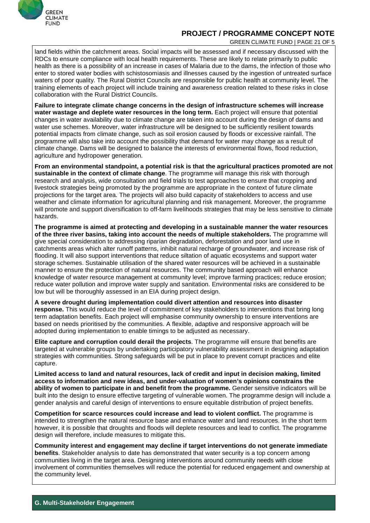

GREEN CLIMATE FUND | PAGE 21 OF 5

land fields within the catchment areas. Social impacts will be assessed and if necessary discussed with the RDCs to ensure compliance with local health requirements. These are likely to relate primarily to public health as there is a possibility of an increase in cases of Malaria due to the dams, the infection of those who enter to stored water bodies with schistosomiasis and illnesses caused by the ingestion of untreated surface waters of poor quality. The Rural District Councils are responsible for public health at community level. The training elements of each project will include training and awareness creation related to these risks in close collaboration with the Rural District Councils.

**Failure to integrate climate change concerns in the design of infrastructure schemes will increase water wastage and deplete water resources in the long term.** Each project will ensure that potential changes in water availability due to climate change are taken into account during the design of dams and water use schemes. Moreover, water infrastructure will be designed to be sufficiently resilient towards potential impacts from climate change, such as soil erosion caused by floods or excessive rainfall. The programme will also take into account the possibility that demand for water may change as a result of climate change. Dams will be designed to balance the interests of environmental flows, flood reduction, agriculture and hydropower generation.

**From an environmental standpoint, a potential risk is that the agricultural practices promoted are not sustainable in the context of climate change**. The programme will manage this risk with thorough research and analysis, wide consultation and field trials to test approaches to ensure that cropping and livestock strategies being promoted by the programme are appropriate in the context of future climate projections for the target area. The projects will also build capacity of stakeholders to access and use weather and climate information for agricultural planning and risk management. Moreover, the programme will promote and support diversification to off-farm livelihoods strategies that may be less sensitive to climate hazards.

**The programme is aimed at protecting and developing in a sustainable manner the water resources of the three river basins, taking into account the needs of multiple stakeholders.** The programme will give special consideration to addressing riparian degradation, deforestation and poor land use in catchments areas which alter runoff patterns, inhibit natural recharge of groundwater, and increase risk of flooding. It will also support interventions that reduce siltation of aquatic ecosystems and support water storage schemes. Sustainable utilisation of the shared water resources will be achieved in a sustainable manner to ensure the protection of natural resources. The community based approach will enhance knowledge of water resource management at community level; improve farming practices; reduce erosion; reduce water pollution and improve water supply and sanitation. Environmental risks are considered to be low but will be thoroughly assessed in an EIA during project design.

**A severe drought during implementation could divert attention and resources into disaster response.** This would reduce the level of commitment of key stakeholders to interventions that bring long term adaptation benefits. Each project will emphasise community ownership to ensure interventions are based on needs prioritised by the communities. A flexible, adaptive and responsive approach will be adopted during implementation to enable timings to be adjusted as necessary.

**Elite capture and corruption could derail the projects**. The programme will ensure that benefits are targeted at vulnerable groups by undertaking participatory vulnerability assessment in designing adaptation strategies with communities. Strong safeguards will be put in place to prevent corrupt practices and elite capture.

**Limited access to land and natural resources, lack of credit and input in decision making, limited access to information and new ideas, and under-valuation of women's opinions constrains the ability of women to participate in and benefit from the programme.** Gender sensitive indicators will be built into the design to ensure effective targeting of vulnerable women. The programme design will include a gender analysis and careful design of interventions to ensure equitable distribution of project benefits.

**Competition for scarce resources could increase and lead to violent conflict.** The programme is intended to strengthen the natural resource base and enhance water and land resources. In the short term however, it is possible that droughts and floods will deplete resources and lead to conflict. The programme design will therefore, include measures to mitigate this.

**Community interest and engagement may decline if target interventions do not generate immediate benefits**. Stakeholder analysis to date has demonstrated that water security is a top concern among communities living in the target area. Designing interventions around community needs with close involvement of communities themselves will reduce the potential for reduced engagement and ownership at the community level.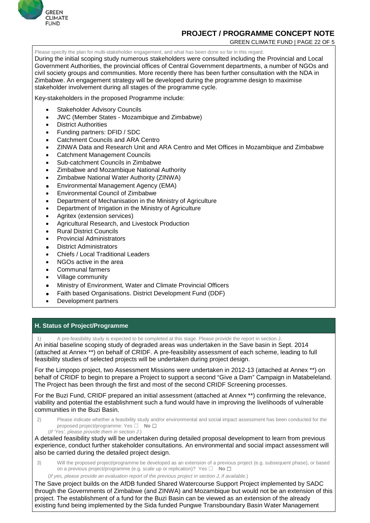

GREEN CLIMATE FUND | PAGE 22 OF 5

Please specify the plan for multi-stakeholder engagement, and what has been done so far in this regard. During the initial scoping study numerous stakeholders were consulted including the Provincial and Local Government Authorities, the provincial offices of Central Government departments, a number of NGOs and civil society groups and communities. More recently there has been further consultation with the NDA in Zimbabwe. An engagement strategy will be developed during the programme design to maximise stakeholder involvement during all stages of the programme cycle.

Key-stakeholders in the proposed Programme include:

- Stakeholder Advisory Councils
- JWC (Member States Mozambique and Zimbabwe)
- District Authorities
- Funding partners: DFID / SDC
- Catchment Councils and ARA Centro
- ZINWA Data and Research Unit and ARA Centro and Met Offices in Mozambique and Zimbabwe
- Catchment Management Councils
- Sub-catchment Councils in Zimbabwe
- Zimbabwe and Mozambique National Authority
- Zimbabwe National Water Authority (ZINWA)
- Environmental Management Agency (EMA)
- Environmental Council of Zimbabwe
- Department of Mechanisation in the Ministry of Agriculture
- Department of Irrigation in the Ministry of Agriculture
- Agritex (extension services)
- Agricultural Research, and Livestock Production
- Rural District Councils
- Provincial Administrators
- **District Administrators**
- Chiefs / Local Traditional Leaders
- NGOs active in the area
- Communal farmers
- Village community
- Ministry of Environment, Water and Climate Provincial Officers
- Faith based Organisations. District Development Fund (DDF)
- Development partners

#### **H. Status of Project/Programme**

A pre-feasibility study is expected to be completed at this stage. Please provide the report in section J. An initial baseline scoping study of degraded areas was undertaken in the Save basin in Sept. 2014 (attached at Annex \*\*) on behalf of CRIDF. A pre-feasibility assessment of each scheme, leading to full feasibility studies of selected projects will be undertaken during project design.

For the Limpopo project, two Assessment Missions were undertaken in 2012-13 (attached at Annex \*\*) on behalf of CRIDF to begin to prepare a Project to support a second "Give a Dam" Campaign in Matabeleland. The Project has been through the first and most of the second CRIDF Screening processes.

For the Buzi Fund, CRIDF prepared an initial assessment (attached at Annex \*\*) confirming the relevance, viability and potential the establishment such a fund would have in improving the livelihoods of vulnerable communities in the Buzi Basin.

- 2) Please indicate whether a feasibility study and/or environmental and social impact assessment has been conducted for the proposed project/programme: Yes ☐ **No** ☐
	- (*If 'Yes', please provide them in section J*.)

A detailed feasibility study will be undertaken during detailed proposal development to learn from previous experience, conduct further stakeholder consultations. An environmental and social impact assessment will also be carried during the detailed project design.

3) Will the proposed project/programme be developed as an extension of a previous project (e.g. subsequent phase), or based on a previous project/programme (e.g. scale up or replication)? Yes □ **No** □

(*If yes, please provide an evaluation report of the previous project in section J, if available.*)

The Save project builds on the AfDB funded Shared Watercourse Support Project implemented by SADC through the Governments of Zimbabwe (and ZINWA) and Mozambique but would not be an extension of this project. The establishment of a fund for the Buzi Basin can be viewed as an extension of the already existing fund being implemented by the Sida funded Pungwe Transboundary Basin Water Management